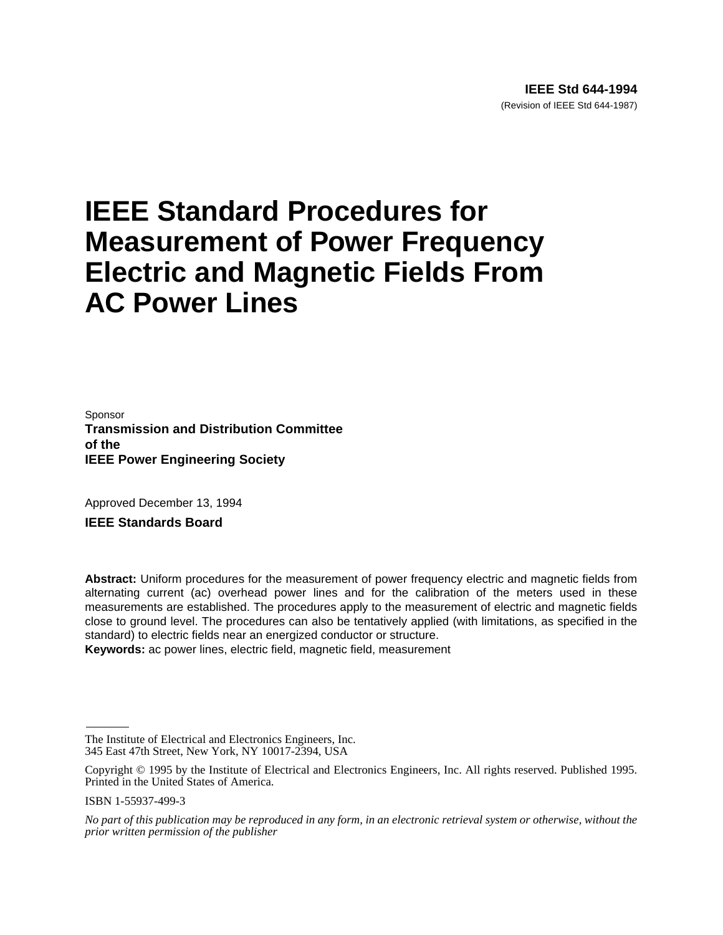# **IEEE Standard Procedures for Measurement of Power Frequency Electric and Magnetic Fields From AC Power Lines**

Sponsor **Transmission and Distribution Committee of the IEEE Power Engineering Society**

Approved December 13, 1994

**IEEE Standards Board**

**Abstract:** Uniform procedures for the measurement of power frequency electric and magnetic fields from alternating current (ac) overhead power lines and for the calibration of the meters used in these measurements are established. The procedures apply to the measurement of electric and magnetic fields close to ground level. The procedures can also be tentatively applied (with limitations, as specified in the standard) to electric fields near an energized conductor or structure.

**Keywords:** ac power lines, electric field, magnetic field, measurement

ISBN 1-55937-499-3

The Institute of Electrical and Electronics Engineers, Inc. 345 East 47th Street, New York, NY 10017-2394, USA

Copyright © 1995 by the Institute of Electrical and Electronics Engineers, Inc. All rights reserved. Published 1995. Printed in the United States of America.

*No part of this publication may be reproduced in any form, in an electronic retrieval system or otherwise, without the prior written permission of the publisher*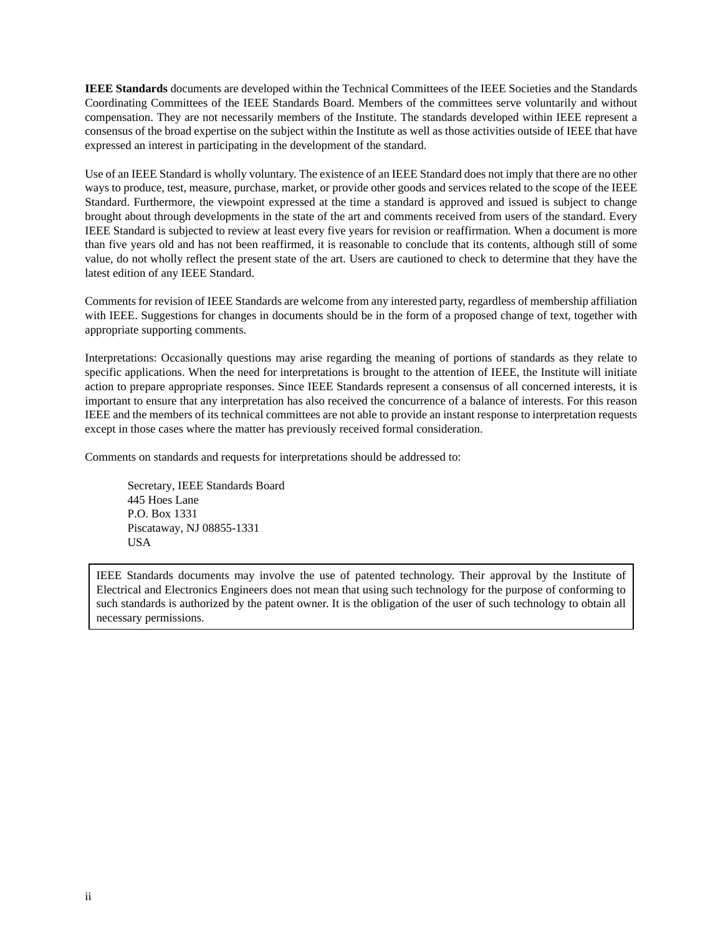**IEEE Standards** documents are developed within the Technical Committees of the IEEE Societies and the Standards Coordinating Committees of the IEEE Standards Board. Members of the committees serve voluntarily and without compensation. They are not necessarily members of the Institute. The standards developed within IEEE represent a consensus of the broad expertise on the subject within the Institute as well as those activities outside of IEEE that have expressed an interest in participating in the development of the standard.

Use of an IEEE Standard is wholly voluntary. The existence of an IEEE Standard does not imply that there are no other ways to produce, test, measure, purchase, market, or provide other goods and services related to the scope of the IEEE Standard. Furthermore, the viewpoint expressed at the time a standard is approved and issued is subject to change brought about through developments in the state of the art and comments received from users of the standard. Every IEEE Standard is subjected to review at least every five years for revision or reaffirmation. When a document is more than five years old and has not been reaffirmed, it is reasonable to conclude that its contents, although still of some value, do not wholly reflect the present state of the art. Users are cautioned to check to determine that they have the latest edition of any IEEE Standard.

Comments for revision of IEEE Standards are welcome from any interested party, regardless of membership affiliation with IEEE. Suggestions for changes in documents should be in the form of a proposed change of text, together with appropriate supporting comments.

Interpretations: Occasionally questions may arise regarding the meaning of portions of standards as they relate to specific applications. When the need for interpretations is brought to the attention of IEEE, the Institute will initiate action to prepare appropriate responses. Since IEEE Standards represent a consensus of all concerned interests, it is important to ensure that any interpretation has also received the concurrence of a balance of interests. For this reason IEEE and the members of its technical committees are not able to provide an instant response to interpretation requests except in those cases where the matter has previously received formal consideration.

Comments on standards and requests for interpretations should be addressed to:

Secretary, IEEE Standards Board 445 Hoes Lane P.O. Box 1331 Piscataway, NJ 08855-1331 USA

IEEE Standards documents may involve the use of patented technology. Their approval by the Institute of Electrical and Electronics Engineers does not mean that using such technology for the purpose of conforming to such standards is authorized by the patent owner. It is the obligation of the user of such technology to obtain all necessary permissions.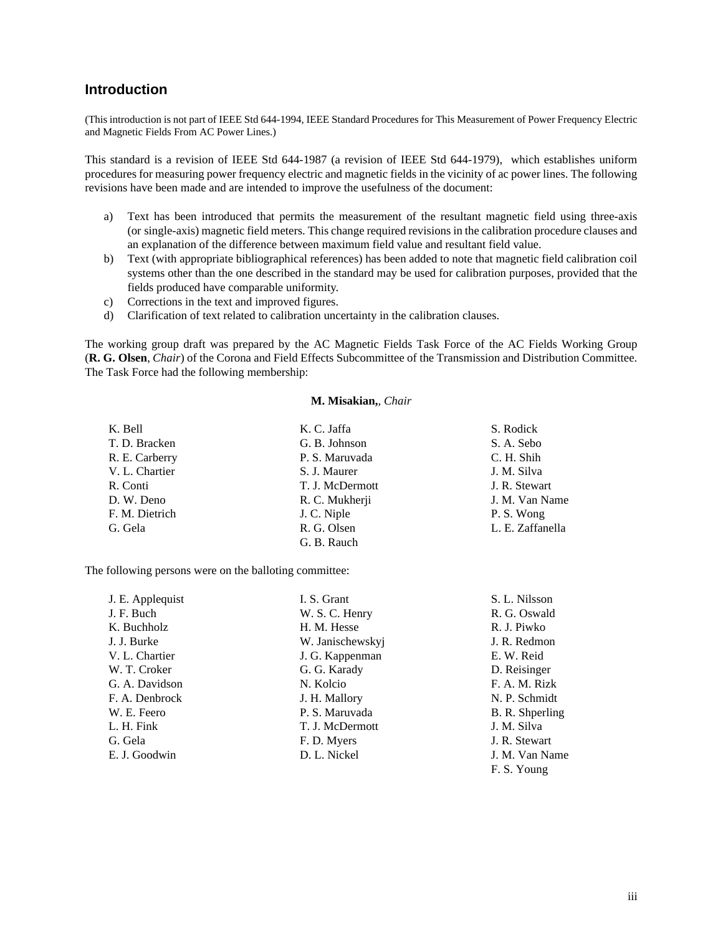# **Introduction**

(This introduction is not part of IEEE Std 644-1994, IEEE Standard Procedures for This Measurement of Power Frequency Electric and Magnetic Fields From AC Power Lines.)

This standard is a revision of IEEE Std 644-1987 (a revision of IEEE Std 644-1979), which establishes uniform procedures for measuring power frequency electric and magnetic fields in the vicinity of ac power lines. The following revisions have been made and are intended to improve the usefulness of the document:

- a) Text has been introduced that permits the measurement of the resultant magnetic field using three-axis (or single-axis) magnetic field meters. This change required revisions in the calibration procedure clauses and an explanation of the difference between maximum field value and resultant field value.
- b) Text (with appropriate bibliographical references) has been added to note that magnetic field calibration coil systems other than the one described in the standard may be used for calibration purposes, provided that the fields produced have comparable uniformity.
- c) Corrections in the text and improved figures.
- d) Clarification of text related to calibration uncertainty in the calibration clauses.

The working group draft was prepared by the AC Magnetic Fields Task Force of the AC Fields Working Group (**R. G. Olsen**, *Chair*) of the Corona and Field Effects Subcommittee of the Transmission and Distribution Committee. The Task Force had the following membership:

#### **M. Misakian,***, Chair*

| K. Bell        | K. C. Jaffa     | S. Rodick        |
|----------------|-----------------|------------------|
| T. D. Bracken  | G. B. Johnson   | S. A. Sebo       |
| R. E. Carberry | P. S. Maruvada  | C. H. Shih       |
| V. L. Chartier | S. J. Maurer    | J. M. Silva      |
| R. Conti       | T. J. McDermott | J. R. Stewart    |
| D. W. Deno     | R. C. Mukherji  | J. M. Van Name   |
| F. M. Dietrich | J. C. Niple     | P.S. Wong        |
| G. Gela        | R. G. Olsen     | L. E. Zaffanella |
|                | G. B. Rauch     |                  |

The following persons were on the balloting committee:

| J. E. Applequist | I. S. Grant      | S. L. Nilsson   |
|------------------|------------------|-----------------|
| J. F. Buch       | W. S. C. Henry   | R. G. Oswald    |
| K. Buchholz      | H. M. Hesse      | R. J. Piwko     |
| J. J. Burke      | W. Janischewskyj | J. R. Redmon    |
| V. L. Chartier   | J. G. Kappenman  | E. W. Reid      |
| W. T. Croker     | G. G. Karady     | D. Reisinger    |
| G. A. Davidson   | N. Kolcio        | F. A. M. Rizk   |
| F. A. Denbrock   | J. H. Mallory    | N. P. Schmidt   |
| W. E. Feero      | P. S. Maruvada   | B. R. Shperling |
| L. H. Fink       | T. J. McDermott  | J. M. Silva     |
| G. Gela          | F. D. Myers      | J. R. Stewart   |
| E. J. Goodwin    | D. L. Nickel     | J. M. Van Name  |
|                  |                  | F. S. Young     |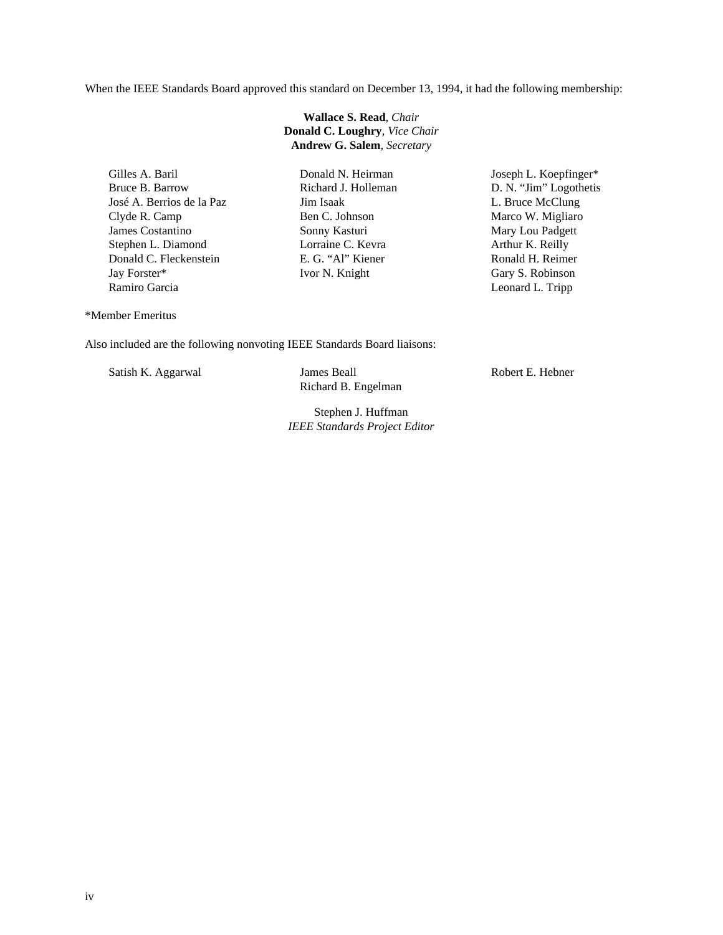When the IEEE Standards Board approved this standard on December 13, 1994, it had the following membership:

**Wallace S. Read***, Chair*  **Donald C. Loughry***, Vice Chair*  **Andrew G. Salem***, Secretary* 

Gilles A. Baril Bruce B. Barrow José A. Berrios de la Paz Clyde R. Camp James Costantino Stephen L. Diamond Donald C. Fleckenstein Jay Forster\* Ramiro Garcia

Donald N. Heirman Richard J. Holleman Jim Isaak Ben C. Johnson Sonny Kasturi Lorraine C. Kevra E. G. "Al" Kiener Ivor N. Knight

Joseph L. Koepfinger\* D. N. "Jim" Logothetis L. Bruce McClung Marco W. Migliaro Mary Lou Padgett Arthur K. Reilly Ronald H. Reimer Gary S. Robinson Leonard L. Tripp

\*Member Emeritus

Also included are the following nonvoting IEEE Standards Board liaisons:

Satish K. Aggarwal James Beall

Richard B. Engelman

Stephen J. Huffman *IEEE Standards Project Editor* Robert E. Hebner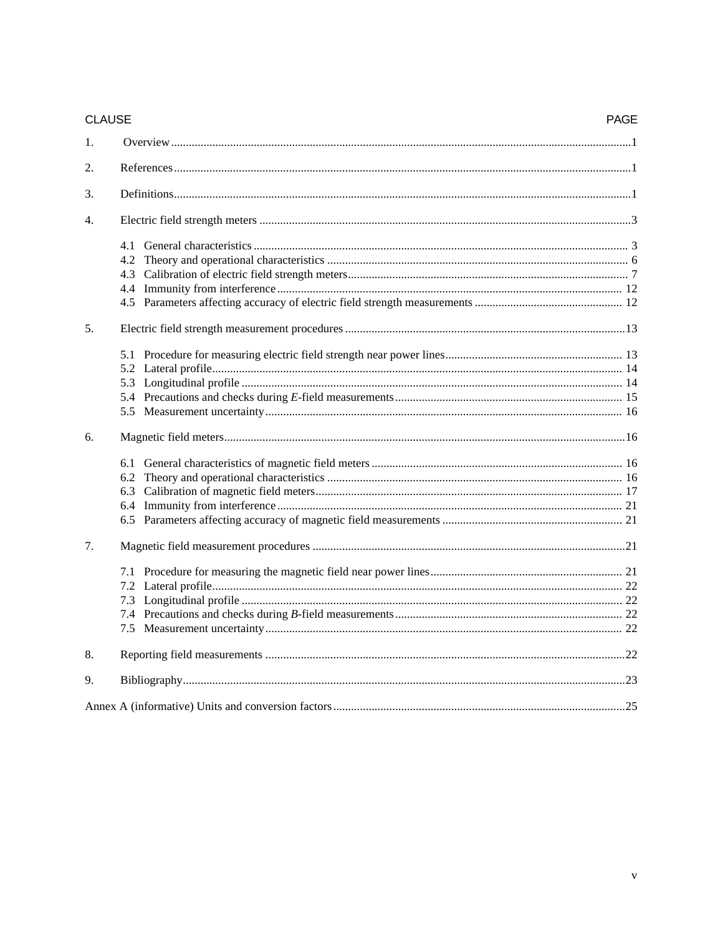| <b>CLAUSE</b> |  | <b>PAGE</b> |
|---------------|--|-------------|
| 1.            |  |             |
| 2.            |  |             |
| 3.            |  |             |
| 4.            |  |             |
|               |  |             |
|               |  |             |
|               |  |             |
|               |  |             |
|               |  |             |
|               |  |             |
| 5.            |  |             |
|               |  |             |
|               |  |             |
|               |  |             |
|               |  |             |
|               |  |             |
| 6.            |  |             |
|               |  |             |
|               |  |             |
|               |  |             |
|               |  |             |
|               |  |             |
| 7.            |  |             |
|               |  |             |
|               |  |             |
|               |  |             |
|               |  |             |
|               |  |             |
| 8.            |  |             |
| 9.            |  |             |
|               |  |             |
|               |  |             |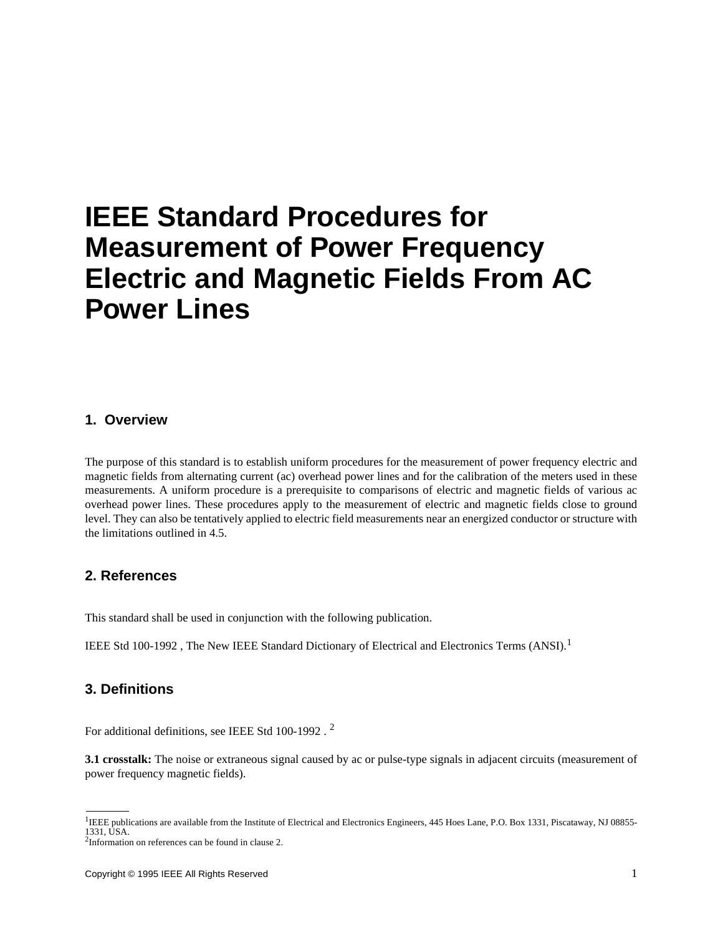# **IEEE Standard Procedures for Measurement of Power Frequency Electric and Magnetic Fields From AC Power Lines**

### **1. Overview**

The purpose of this standard is to establish uniform procedures for the measurement of power frequency electric and magnetic fields from alternating current (ac) overhead power lines and for the calibration of the meters used in these measurements. A uniform procedure is a prerequisite to comparisons of electric and magnetic fields of various ac overhead power lines. These procedures apply to the measurement of electric and magnetic fields close to ground level. They can also be tentatively applied to electric field measurements near an energized conductor or structure with the limitations outlined in 4.5.

# **2. References**

This standard shall be used in conjunction with the following publication.

IEEE Std 100-1992, The New IEEE Standard Dictionary of Electrical and Electronics Terms (ANSI).<sup>1</sup>

# **3. Definitions**

For additional definitions, see IEEE Std 100-1992 . <sup>2</sup>

**3.1 crosstalk:** The noise or extraneous signal caused by ac or pulse-type signals in adjacent circuits (measurement of power frequency magnetic fields).

<sup>&</sup>lt;sup>1</sup>IEEE publications are available from the Institute of Electrical and Electronics Engineers, 445 Hoes Lane, P.O. Box 1331, Piscataway, NJ 08855-1331, USA.

<sup>&</sup>lt;sup>2</sup>Information on references can be found in clause 2.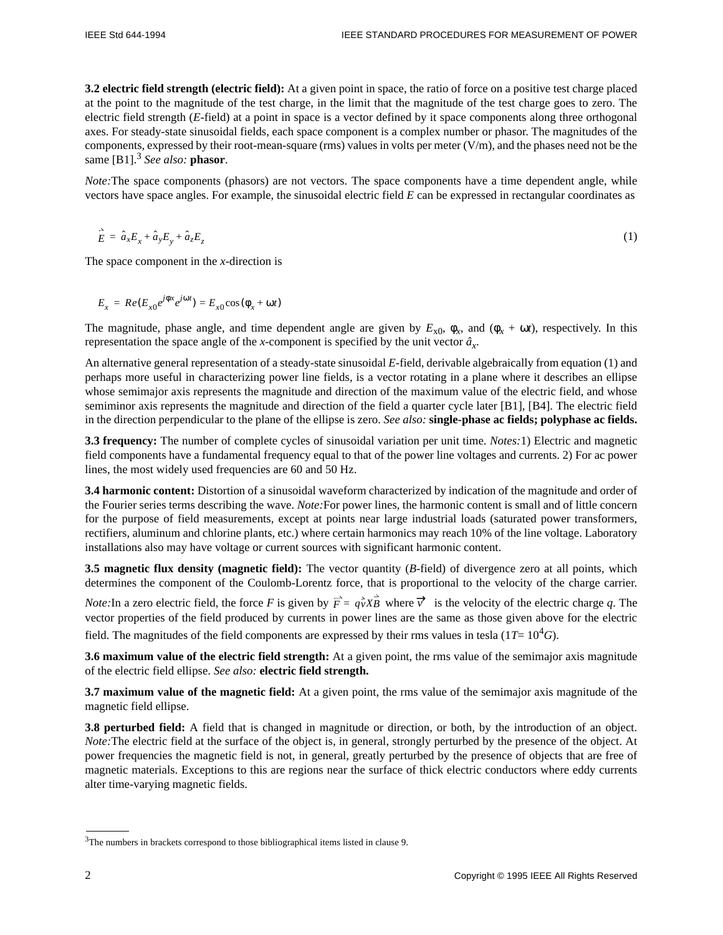**3.2 electric field strength (electric field):** At a given point in space, the ratio of force on a positive test charge placed at the point to the magnitude of the test charge, in the limit that the magnitude of the test charge goes to zero. The electric field strength (*E*-field) at a point in space is a vector defined by it space components along three orthogonal axes. For steady-state sinusoidal fields, each space component is a complex number or phasor. The magnitudes of the components, expressed by their root-mean-square (rms) values in volts per meter (V/m), and the phases need not be the same [B1].<sup>3</sup> See also: **phasor**.

*Note:*The space components (phasors) are not vectors. The space components have a time dependent angle, while vectors have space angles. For example, the sinusoidal electric field *E* can be expressed in rectangular coordinates as

$$
\mathbf{\vec{E}} = \hat{a}_x E_x + \hat{a}_y E_y + \hat{a}_z E_z \tag{1}
$$

The space component in the *x*-direction is

$$
E_x = Re(E_{x0}e^{j\phi x}e^{j\omega t}) = E_{x0}\cos(\phi_x + \omega t)
$$

The magnitude, phase angle, and time dependent angle are given by  $E_{x0}$ ,  $\phi_x$ , and  $(\phi_x + \omega t)$ , respectively. In this representation the space angle of the *x*-component is specified by the unit vector *â<sup>x</sup>* .

An alternative general representation of a steady-state sinusoidal *E*-field, derivable algebraically from equation (1) and perhaps more useful in characterizing power line fields, is a vector rotating in a plane where it describes an ellipse whose semimajor axis represents the magnitude and direction of the maximum value of the electric field, and whose semiminor axis represents the magnitude and direction of the field a quarter cycle later [B1], [B4]. The electric field in the direction perpendicular to the plane of the ellipse is zero. *See also:* **single-phase ac fields; polyphase ac fields.**

**3.3 frequency:** The number of complete cycles of sinusoidal variation per unit time. *Notes:*1) Electric and magnetic field components have a fundamental frequency equal to that of the power line voltages and currents. 2) For ac power lines, the most widely used frequencies are 60 and 50 Hz.

**3.4 harmonic content:** Distortion of a sinusoidal waveform characterized by indication of the magnitude and order of the Fourier series terms describing the wave. *Note:*For power lines, the harmonic content is small and of little concern for the purpose of field measurements, except at points near large industrial loads (saturated power transformers, rectifiers, aluminum and chlorine plants, etc.) where certain harmonics may reach 10% of the line voltage. Laboratory installations also may have voltage or current sources with significant harmonic content.

**3.5 magnetic flux density (magnetic field):** The vector quantity (*B*-field) of divergence zero at all points, which determines the component of the Coulomb-Lorentz force, that is proportional to the velocity of the charge carrier.

*Note:* In a zero electric field, the force *F* is given by  $\vec{F} = q_v^2 X \vec{B}$  where  $\vec{v}$  is the velocity of the electric charge *q*. The vector properties of the field produced by currents in power lines are the same as those given above for the electric field. The magnitudes of the field components are expressed by their rms values in tesla ( $1T=10^4G$ ).

**3.6 maximum value of the electric field strength:** At a given point, the rms value of the semimajor axis magnitude of the electric field ellipse. *See also:* **electric field strength.**

**3.7 maximum value of the magnetic field:** At a given point, the rms value of the semimajor axis magnitude of the magnetic field ellipse.

**3.8 perturbed field:** A field that is changed in magnitude or direction, or both, by the introduction of an object. *Note:* The electric field at the surface of the object is, in general, strongly perturbed by the presence of the object. At power frequencies the magnetic field is not, in general, greatly perturbed by the presence of objects that are free of magnetic materials. Exceptions to this are regions near the surface of thick electric conductors where eddy currents alter time-varying magnetic fields.

 $3$ The numbers in brackets correspond to those bibliographical items listed in clause 9.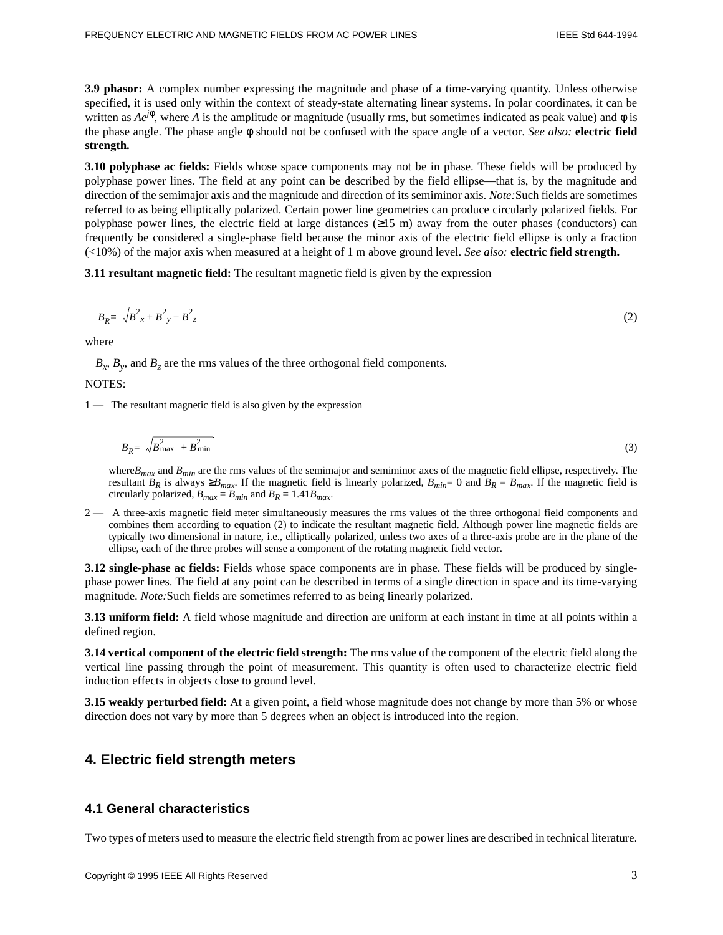**3.9 phasor:** A complex number expressing the magnitude and phase of a time-varying quantity. Unless otherwise specified, it is used only within the context of steady-state alternating linear systems. In polar coordinates, it can be written as  $Ae^{j\phi}$ , where *A* is the amplitude or magnitude (usually rms, but sometimes indicated as peak value) and  $\phi$  is the phase angle. The phase angle φ should not be confused with the space angle of a vector. *See also:* **electric field strength.**

**3.10 polyphase ac fields:** Fields whose space components may not be in phase. These fields will be produced by polyphase power lines. The field at any point can be described by the field ellipse—that is, by the magnitude and direction of the semimajor axis and the magnitude and direction of its semiminor axis. *Note:*Such fields are sometimes referred to as being elliptically polarized. Certain power line geometries can produce circularly polarized fields. For polyphase power lines, the electric field at large distances ( $\geq 15$  m) away from the outer phases (conductors) can frequently be considered a single-phase field because the minor axis of the electric field ellipse is only a fraction (<10%) of the major axis when measured at a height of 1 m above ground level. *See also:* **electric field strength.**

**3.11 resultant magnetic field:** The resultant magnetic field is given by the expression

$$
B_R = \sqrt{B_{x}^2 + B_{y}^2 + B_{z}^2}
$$
 (2)

where

 $B_x$ ,  $B_y$ , and  $B_z$  are the rms values of the three orthogonal field components.

NOTES:

1 — The resultant magnetic field is also given by the expression

$$
B_R = \sqrt{B_{\text{max}}^2 + B_{\text{min}}^2} \tag{3}
$$

where*Bmax* and *Bmin* are the rms values of the semimajor and semiminor axes of the magnetic field ellipse, respectively. The resultant  $B_R$  is always  $\geq B_{max}$ . If the magnetic field is linearly polarized,  $B_{min} = 0$  and  $B_R = B_{max}$ . If the magnetic field is circularly polarized,  $B_{max} = B_{min}$  and  $B_R = 1.41B_{max}$ .

2 — A three-axis magnetic field meter simultaneously measures the rms values of the three orthogonal field components and combines them according to equation (2) to indicate the resultant magnetic field. Although power line magnetic fields are typically two dimensional in nature, i.e., elliptically polarized, unless two axes of a three-axis probe are in the plane of the ellipse, each of the three probes will sense a component of the rotating magnetic field vector.

**3.12 single-phase ac fields:** Fields whose space components are in phase. These fields will be produced by singlephase power lines. The field at any point can be described in terms of a single direction in space and its time-varying magnitude. *Note:*Such fields are sometimes referred to as being linearly polarized.

**3.13 uniform field:** A field whose magnitude and direction are uniform at each instant in time at all points within a defined region.

**3.14 vertical component of the electric field strength:** The rms value of the component of the electric field along the vertical line passing through the point of measurement. This quantity is often used to characterize electric field induction effects in objects close to ground level.

**3.15 weakly perturbed field:** At a given point, a field whose magnitude does not change by more than 5% or whose direction does not vary by more than 5 degrees when an object is introduced into the region.

# **4. Electric field strength meters**

# **4.1 General characteristics**

Two types of meters used to measure the electric field strength from ac power lines are described in technical literature.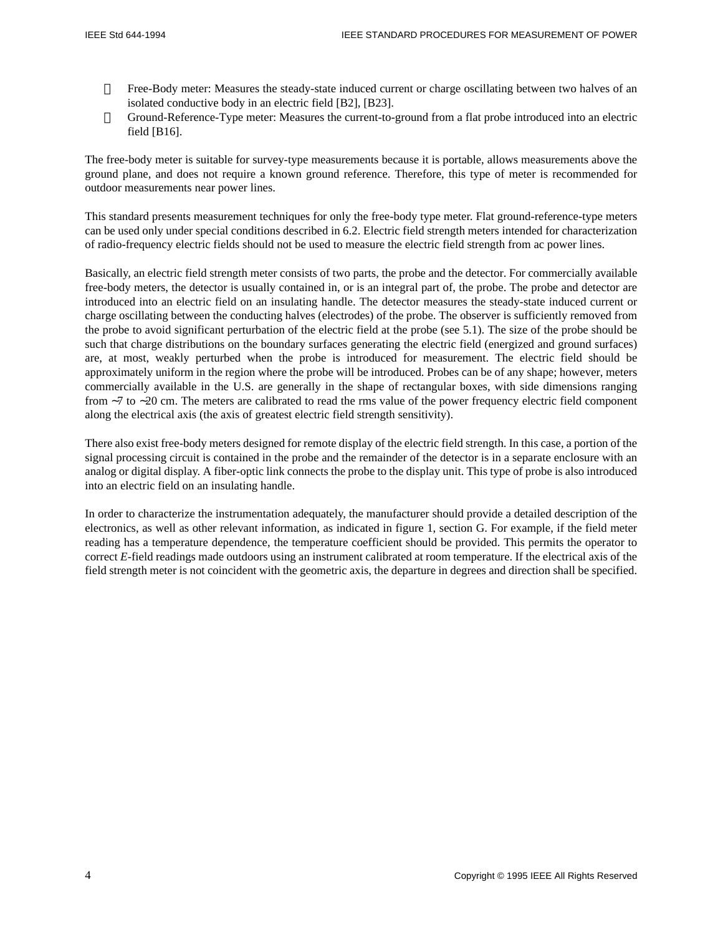- Free-Body meter: Measures the steady-state induced current or charge oscillating between two halves of an isolated conductive body in an electric field [B2], [B23].
- Ground-Reference-Type meter: Measures the current-to-ground from a flat probe introduced into an electric field [B16].

The free-body meter is suitable for survey-type measurements because it is portable, allows measurements above the ground plane, and does not require a known ground reference. Therefore, this type of meter is recommended for outdoor measurements near power lines.

This standard presents measurement techniques for only the free-body type meter. Flat ground-reference-type meters can be used only under special conditions described in 6.2. Electric field strength meters intended for characterization of radio-frequency electric fields should not be used to measure the electric field strength from ac power lines.

Basically, an electric field strength meter consists of two parts, the probe and the detector. For commercially available free-body meters, the detector is usually contained in, or is an integral part of, the probe. The probe and detector are introduced into an electric field on an insulating handle. The detector measures the steady-state induced current or charge oscillating between the conducting halves (electrodes) of the probe. The observer is sufficiently removed from the probe to avoid significant perturbation of the electric field at the probe (see 5.1). The size of the probe should be such that charge distributions on the boundary surfaces generating the electric field (energized and ground surfaces) are, at most, weakly perturbed when the probe is introduced for measurement. The electric field should be approximately uniform in the region where the probe will be introduced. Probes can be of any shape; however, meters commercially available in the U.S. are generally in the shape of rectangular boxes, with side dimensions ranging from ∼7 to ∼20 cm. The meters are calibrated to read the rms value of the power frequency electric field component along the electrical axis (the axis of greatest electric field strength sensitivity).

There also exist free-body meters designed for remote display of the electric field strength. In this case, a portion of the signal processing circuit is contained in the probe and the remainder of the detector is in a separate enclosure with an analog or digital display. A fiber-optic link connects the probe to the display unit. This type of probe is also introduced into an electric field on an insulating handle.

In order to characterize the instrumentation adequately, the manufacturer should provide a detailed description of the electronics, as well as other relevant information, as indicated in figure 1, section G. For example, if the field meter reading has a temperature dependence, the temperature coefficient should be provided. This permits the operator to correct *E*-field readings made outdoors using an instrument calibrated at room temperature. If the electrical axis of the field strength meter is not coincident with the geometric axis, the departure in degrees and direction shall be specified.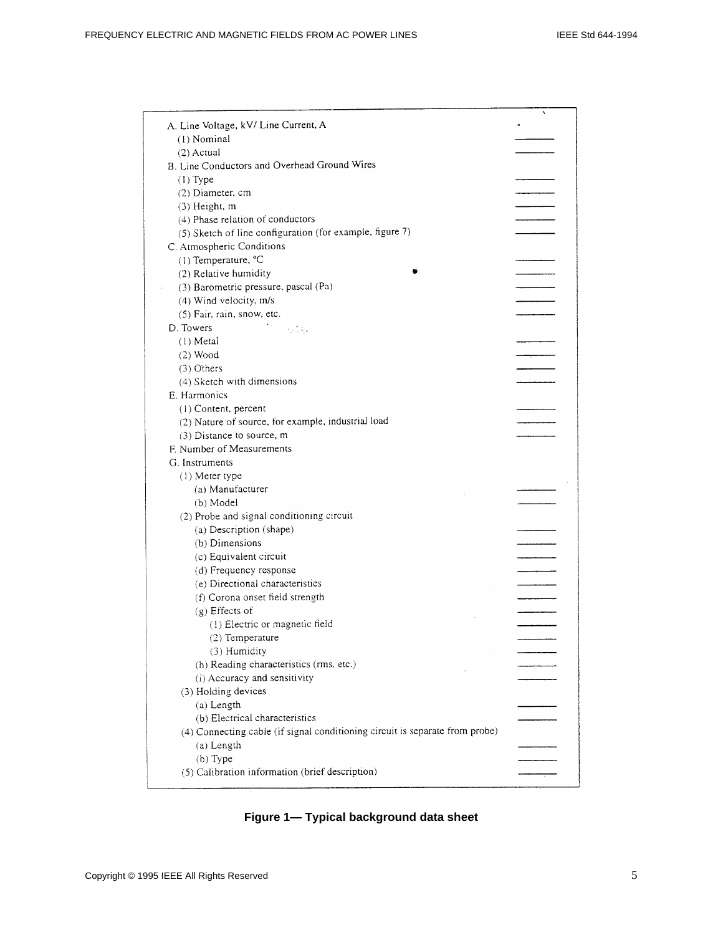|                                                                              | N |
|------------------------------------------------------------------------------|---|
| A. Line Voltage, kV/ Line Current, A                                         |   |
| (1) Nominal                                                                  |   |
| $(2)$ Actual                                                                 |   |
| B. Line Conductors and Overhead Ground Wires                                 |   |
| $(1)$ Type                                                                   |   |
| (2) Diameter, cm                                                             |   |
| $(3)$ Height, m                                                              |   |
| (4) Phase relation of conductors                                             |   |
| (5) Sketch of line configuration (for example, figure 7)                     |   |
| C. Atmospheric Conditions                                                    |   |
| (1) Temperature, °C                                                          |   |
| (2) Relative humidity                                                        |   |
| (3) Barometric pressure, pascal (Pa)                                         |   |
| (4) Wind velocity, m/s                                                       |   |
| (5) Fair, rain, snow, etc.                                                   |   |
| D. Towers<br>in ditu.                                                        |   |
| $(1)$ Metal                                                                  |   |
| $(2)$ Wood                                                                   |   |
| (3) Others                                                                   |   |
| (4) Sketch with dimensions                                                   |   |
| <b>E.</b> Harmonics                                                          |   |
| (1) Content, percent                                                         |   |
| (2) Nature of source, for example, industrial load                           |   |
| (3) Distance to source, m                                                    |   |
| F. Number of Measurements                                                    |   |
| G. Instruments                                                               |   |
| (1) Meter type                                                               |   |
| (a) Manufacturer                                                             |   |
| (b) Model                                                                    |   |
| (2) Probe and signal conditioning circuit                                    |   |
| (a) Description (shape)                                                      |   |
| (b) Dimensions                                                               |   |
| (c) Equivalent circuit                                                       |   |
| (d) Frequency response                                                       |   |
| (e) Directional characteristics                                              |   |
| (f) Corona onset field strength                                              |   |
| (g) Effects of                                                               |   |
| (1) Electric or magnetic field                                               |   |
| $(2)$ Temperature                                                            |   |
| (3) Humidity                                                                 |   |
| (h) Reading characteristics (rms, etc.)                                      |   |
| (i) Accuracy and sensitivity                                                 |   |
| (3) Holding devices                                                          |   |
| (a) Length                                                                   |   |
| (b) Electrical characteristics                                               |   |
| (4) Connecting cable (if signal conditioning circuit is separate from probe) |   |
| (a) Length                                                                   |   |
| $(b)$ Type                                                                   |   |
|                                                                              |   |
| (5) Calibration information (brief description)                              |   |

**Figure 1— Typical background data sheet**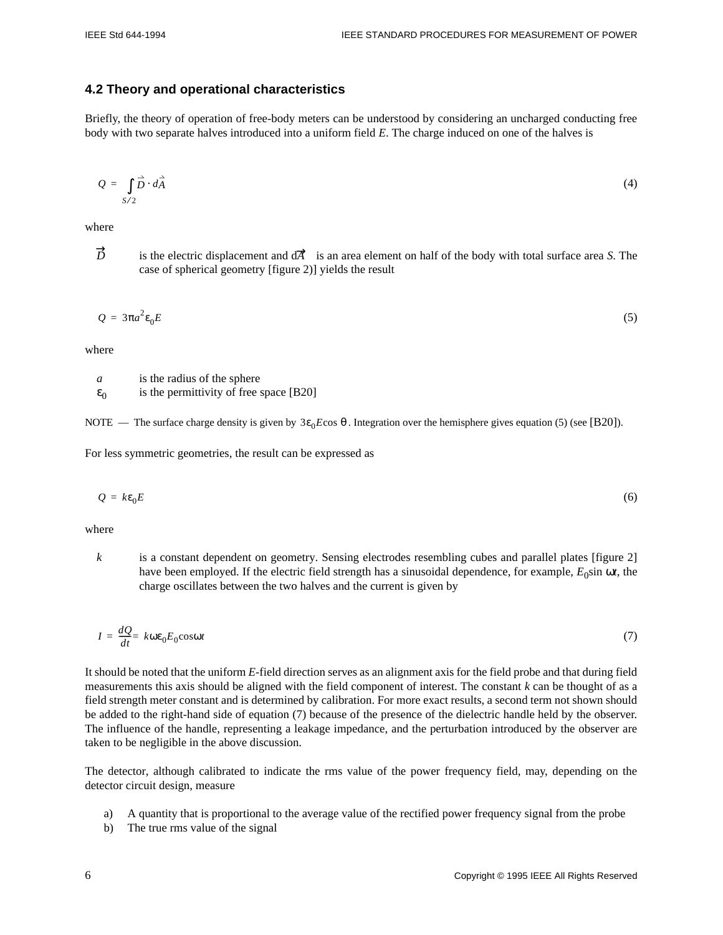#### **4.2 Theory and operational characteristics**

Briefly, the theory of operation of free-body meters can be understood by considering an uncharged conducting free body with two separate halves introduced into a uniform field *E*. The charge induced on one of the halves is

$$
Q = \int_{S/2} \vec{D} \cdot d\vec{A} \tag{4}
$$

where

 $\overrightarrow{D}$ is the electric displacement and  $d\mathcal{R}$  is an area element on half of the body with total surface area *S*. The case of spherical geometry [figure 2)] yields the result

$$
Q = 3\pi a^2 \varepsilon_0 E \tag{5}
$$

where

*a* is the radius of the sphere  $\varepsilon_0$ is the permittivity of free space [B20]

NOTE — The surface charge density is given by  $3ε_0E\cos θ$ . Integration over the hemisphere gives equation (5) (see [B20]).

For less symmetric geometries, the result can be expressed as

$$
Q = k\varepsilon_0 E \tag{6}
$$

where

*k* is a constant dependent on geometry. Sensing electrodes resembling cubes and parallel plates [figure 2] have been employed. If the electric field strength has a sinusoidal dependence, for example, *E*<sub>0</sub>sin ω*t*, the charge oscillates between the two halves and the current is given by

$$
I = \frac{dQ}{dt} = k\omega\varepsilon_0 E_0 \cos\omega t \tag{7}
$$

It should be noted that the uniform *E*-field direction serves as an alignment axis for the field probe and that during field measurements this axis should be aligned with the field component of interest. The constant *k* can be thought of as a field strength meter constant and is determined by calibration. For more exact results, a second term not shown should be added to the right-hand side of equation (7) because of the presence of the dielectric handle held by the observer. The influence of the handle, representing a leakage impedance, and the perturbation introduced by the observer are taken to be negligible in the above discussion.

The detector, although calibrated to indicate the rms value of the power frequency field, may, depending on the detector circuit design, measure

- a) A quantity that is proportional to the average value of the rectified power frequency signal from the probe
- b) The true rms value of the signal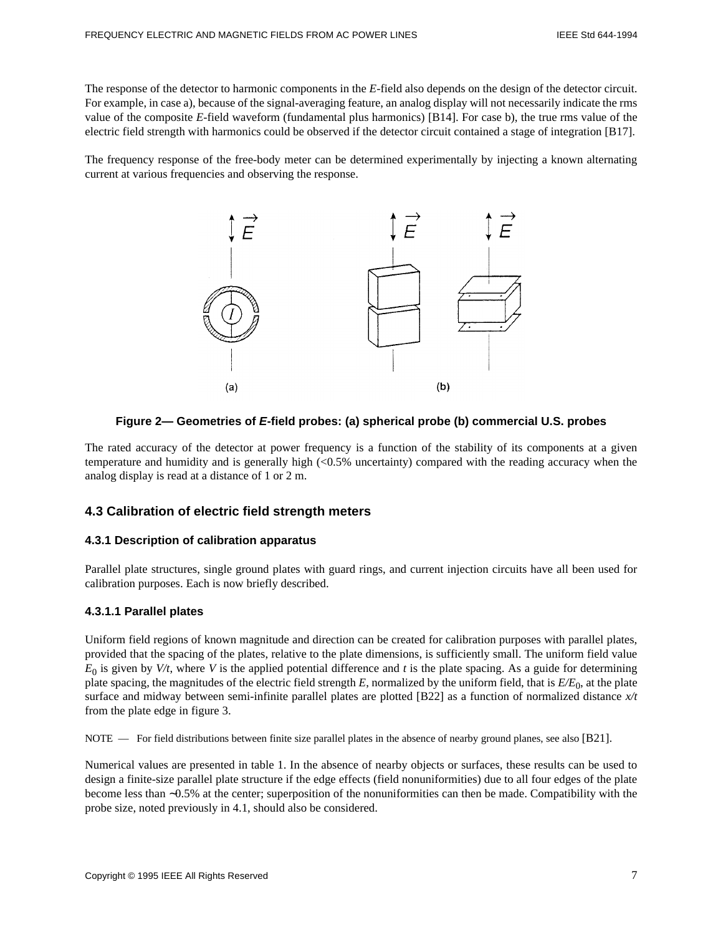The response of the detector to harmonic components in the *E*-field also depends on the design of the detector circuit. For example, in case a), because of the signal-averaging feature, an analog display will not necessarily indicate the rms value of the composite *E*-field waveform (fundamental plus harmonics) [B14]. For case b), the true rms value of the electric field strength with harmonics could be observed if the detector circuit contained a stage of integration [B17].

The frequency response of the free-body meter can be determined experimentally by injecting a known alternating current at various frequencies and observing the response.



#### **Figure 2— Geometries of E-field probes: (a) spherical probe (b) commercial U.S. probes**

The rated accuracy of the detector at power frequency is a function of the stability of its components at a given temperature and humidity and is generally high (<0.5% uncertainty) compared with the reading accuracy when the analog display is read at a distance of 1 or 2 m.

# **4.3 Calibration of electric field strength meters**

#### **4.3.1 Description of calibration apparatus**

Parallel plate structures, single ground plates with guard rings, and current injection circuits have all been used for calibration purposes. Each is now briefly described.

#### **4.3.1.1 Parallel plates**

Uniform field regions of known magnitude and direction can be created for calibration purposes with parallel plates, provided that the spacing of the plates, relative to the plate dimensions, is sufficiently small. The uniform field value  $E_0$  is given by *V*/t, where *V* is the applied potential difference and t is the plate spacing. As a guide for determining plate spacing, the magnitudes of the electric field strength *E*, normalized by the uniform field, that is *E/E*<sup>0</sup> , at the plate surface and midway between semi-infinite parallel plates are plotted [B22] as a function of normalized distance *x/t* from the plate edge in figure 3.

NOTE — For field distributions between finite size parallel plates in the absence of nearby ground planes, see also [B21].

Numerical values are presented in table 1. In the absence of nearby objects or surfaces, these results can be used to design a finite-size parallel plate structure if the edge effects (field nonuniformities) due to all four edges of the plate become less than ∼0.5% at the center; superposition of the nonuniformities can then be made. Compatibility with the probe size, noted previously in 4.1, should also be considered.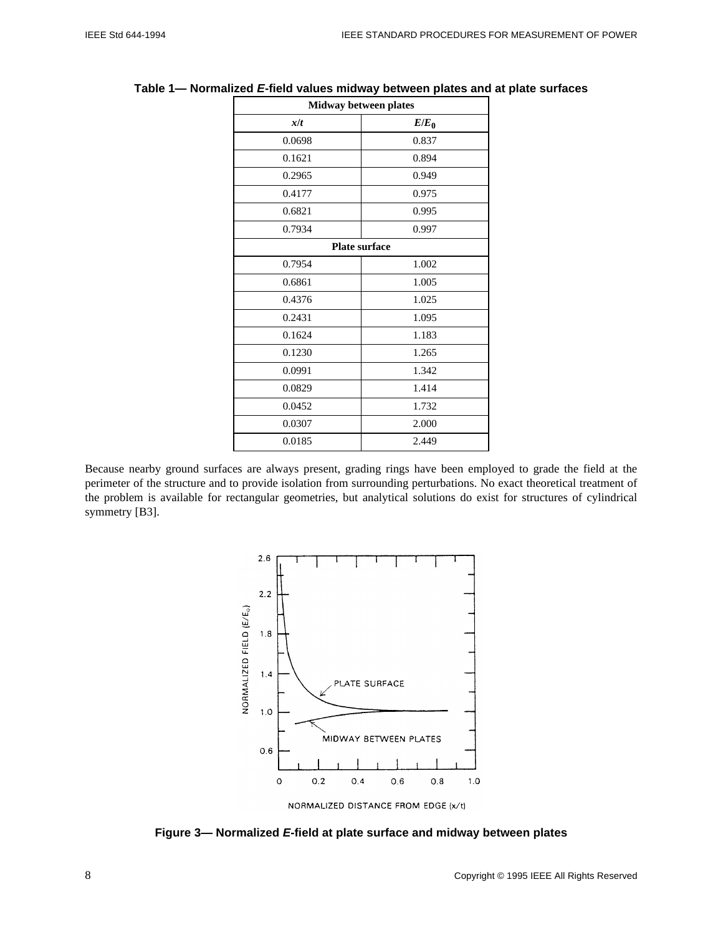| $E/E_0$<br>0.837<br>0.894<br>0.949<br>0.975 |  |  |
|---------------------------------------------|--|--|
|                                             |  |  |
|                                             |  |  |
|                                             |  |  |
|                                             |  |  |
|                                             |  |  |
| 0.995                                       |  |  |
| 0.997                                       |  |  |
| Plate surface                               |  |  |
| 1.002                                       |  |  |
| 1.005                                       |  |  |
| 1.025                                       |  |  |
| 1.095                                       |  |  |
| 1.183                                       |  |  |
| 1.265                                       |  |  |
| 1.342                                       |  |  |
| 1.414                                       |  |  |
| 1.732                                       |  |  |
| 2.000                                       |  |  |
| 2.449                                       |  |  |
|                                             |  |  |

#### **Table 1— Normalized E-field values midway between plates and at plate surfaces**  $\mathsf{r}$

**Midway between plates**

Because nearby ground surfaces are always present, grading rings have been employed to grade the field at the perimeter of the structure and to provide isolation from surrounding perturbations. No exact theoretical treatment of the problem is available for rectangular geometries, but analytical solutions do exist for structures of cylindrical symmetry [B3].



**Figure 3— Normalized E-field at plate surface and midway between plates**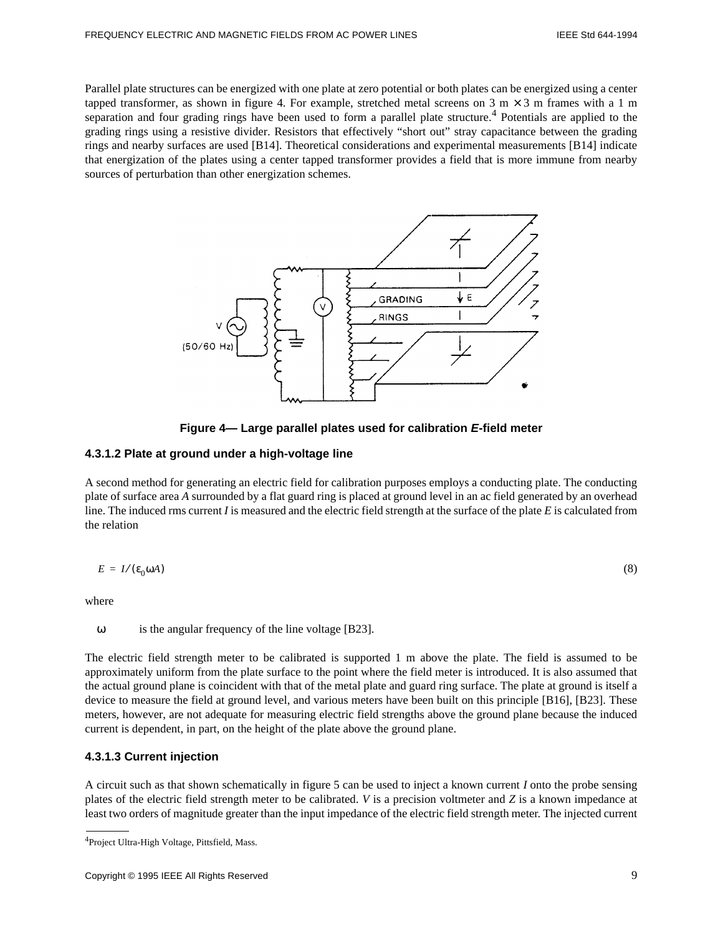Parallel plate structures can be energized with one plate at zero potential or both plates can be energized using a center tapped transformer, as shown in figure 4. For example, stretched metal screens on  $3 \text{ m} \times 3 \text{ m}$  frames with a 1 m separation and four grading rings have been used to form a parallel plate structure.<sup>4</sup> Potentials are applied to the grading rings using a resistive divider. Resistors that effectively "short out" stray capacitance between the grading rings and nearby surfaces are used [B14]. Theoretical considerations and experimental measurements [B14] indicate that energization of the plates using a center tapped transformer provides a field that is more immune from nearby sources of perturbation than other energization schemes.



**Figure 4— Large parallel plates used for calibration E-field meter**

#### **4.3.1.2 Plate at ground under a high-voltage line**

A second method for generating an electric field for calibration purposes employs a conducting plate. The conducting plate of surface area *A* surrounded by a flat guard ring is placed at ground level in an ac field generated by an overhead line. The induced rms current *I* is measured and the electric field strength at the surface of the plate *E* is calculated from the relation

$$
E = I/(\varepsilon_0 \omega A) \tag{8}
$$

where

ω is the angular frequency of the line voltage [B23].

The electric field strength meter to be calibrated is supported 1 m above the plate. The field is assumed to be approximately uniform from the plate surface to the point where the field meter is introduced. It is also assumed that the actual ground plane is coincident with that of the metal plate and guard ring surface. The plate at ground is itself a device to measure the field at ground level, and various meters have been built on this principle [B16], [B23]. These meters, however, are not adequate for measuring electric field strengths above the ground plane because the induced current is dependent, in part, on the height of the plate above the ground plane.

#### **4.3.1.3 Current injection**

A circuit such as that shown schematically in figure 5 can be used to inject a known current *I* onto the probe sensing plates of the electric field strength meter to be calibrated. *V* is a precision voltmeter and *Z* is a known impedance at least two orders of magnitude greater than the input impedance of the electric field strength meter. The injected current

<sup>4</sup>Project Ultra-High Voltage, Pittsfield, Mass.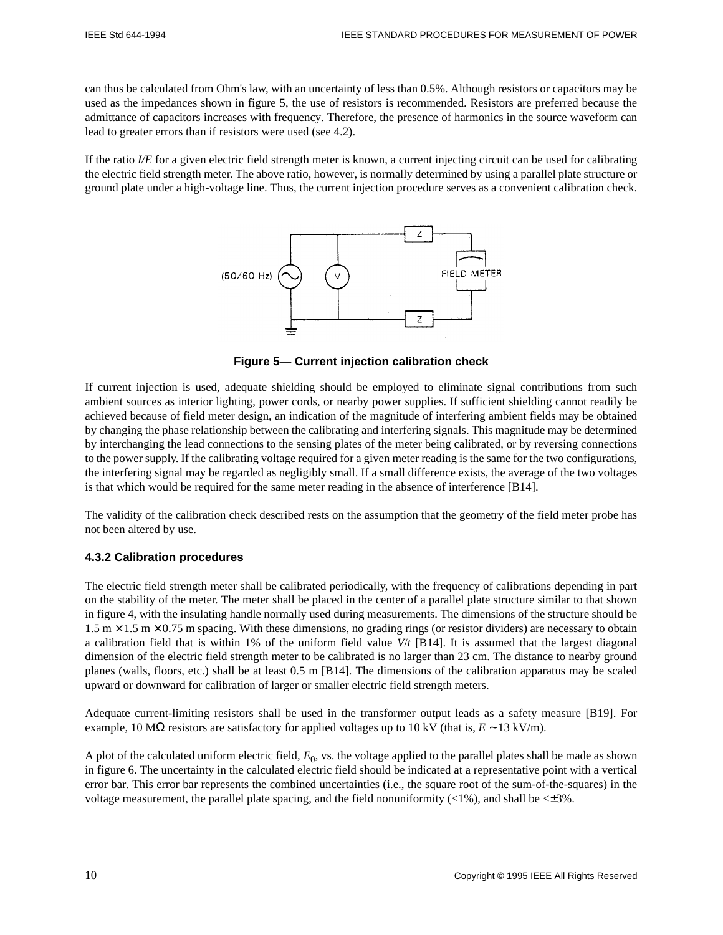can thus be calculated from Ohm's law, with an uncertainty of less than 0.5%. Although resistors or capacitors may be used as the impedances shown in figure 5, the use of resistors is recommended. Resistors are preferred because the admittance of capacitors increases with frequency. Therefore, the presence of harmonics in the source waveform can lead to greater errors than if resistors were used (see 4.2).

If the ratio *I/E* for a given electric field strength meter is known, a current injecting circuit can be used for calibrating the electric field strength meter. The above ratio, however, is normally determined by using a parallel plate structure or ground plate under a high-voltage line. Thus, the current injection procedure serves as a convenient calibration check.



**Figure 5— Current injection calibration check**

If current injection is used, adequate shielding should be employed to eliminate signal contributions from such ambient sources as interior lighting, power cords, or nearby power supplies. If sufficient shielding cannot readily be achieved because of field meter design, an indication of the magnitude of interfering ambient fields may be obtained by changing the phase relationship between the calibrating and interfering signals. This magnitude may be determined by interchanging the lead connections to the sensing plates of the meter being calibrated, or by reversing connections to the power supply. If the calibrating voltage required for a given meter reading is the same for the two configurations, the interfering signal may be regarded as negligibly small. If a small difference exists, the average of the two voltages is that which would be required for the same meter reading in the absence of interference [B14].

The validity of the calibration check described rests on the assumption that the geometry of the field meter probe has not been altered by use.

#### **4.3.2 Calibration procedures**

The electric field strength meter shall be calibrated periodically, with the frequency of calibrations depending in part on the stability of the meter. The meter shall be placed in the center of a parallel plate structure similar to that shown in figure 4, with the insulating handle normally used during measurements. The dimensions of the structure should be  $1.5 \text{ m} \times 1.5 \text{ m} \times 0.75 \text{ m}$  spacing. With these dimensions, no grading rings (or resistor dividers) are necessary to obtain a calibration field that is within 1% of the uniform field value *V*/*t* [B14]. It is assumed that the largest diagonal dimension of the electric field strength meter to be calibrated is no larger than 23 cm. The distance to nearby ground planes (walls, floors, etc.) shall be at least 0.5 m [B14]. The dimensions of the calibration apparatus may be scaled upward or downward for calibration of larger or smaller electric field strength meters.

Adequate current-limiting resistors shall be used in the transformer output leads as a safety measure [B19]. For example, 10 MΩ resistors are satisfactory for applied voltages up to 10 kV (that is,  $E \sim 13 \text{ kV/m}$ ).

A plot of the calculated uniform electric field,  $E_0$ , vs. the voltage applied to the parallel plates shall be made as shown in figure 6. The uncertainty in the calculated electric field should be indicated at a representative point with a vertical error bar. This error bar represents the combined uncertainties (i.e., the square root of the sum-of-the-squares) in the voltage measurement, the parallel plate spacing, and the field nonuniformity  $\left\langle \langle 1\% \rangle \right\rangle$ , and shall be  $\langle \pm 3\% \rangle$ .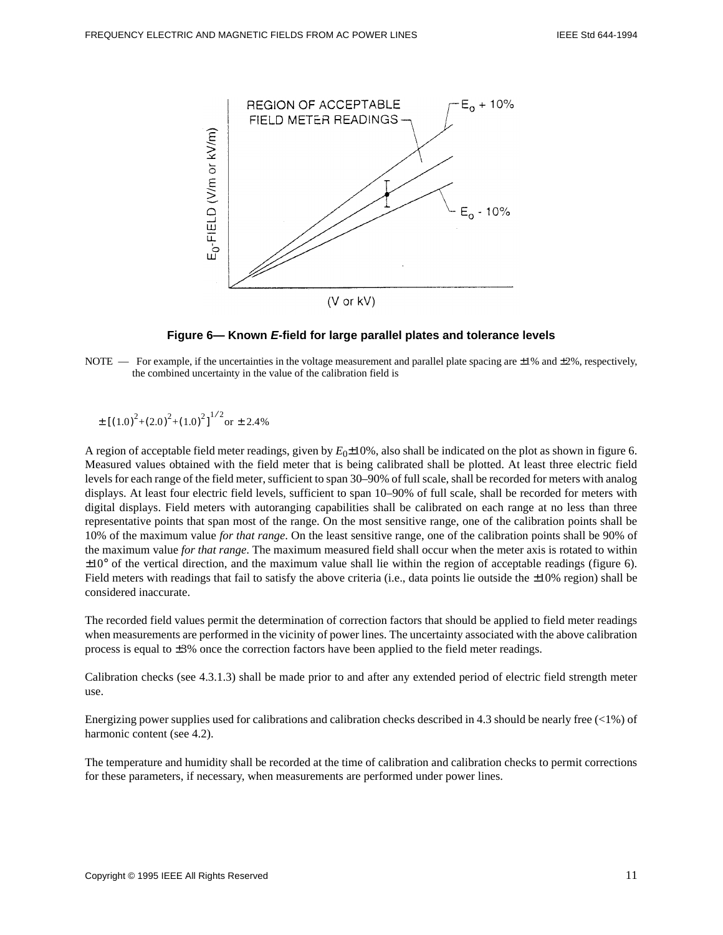

#### **Figure 6— Known E-field for large parallel plates and tolerance levels**

NOTE — For example, if the uncertainties in the voltage measurement and parallel plate spacing are  $\pm 1\%$  and  $\pm 2\%$ , respectively, the combined uncertainty in the value of the calibration field is

$$
\pm [(1.0)^{2}+(2.0)^{2}+(1.0)^{2}]^{1/2} \text{or} \pm 2.4\%
$$

A region of acceptable field meter readings, given by  $E_0 \pm 10\%$ , also shall be indicated on the plot as shown in figure 6. Measured values obtained with the field meter that is being calibrated shall be plotted. At least three electric field levels for each range of the field meter, sufficient to span 30–90% of full scale, shall be recorded for meters with analog displays. At least four electric field levels, sufficient to span 10–90% of full scale, shall be recorded for meters with digital displays. Field meters with autoranging capabilities shall be calibrated on each range at no less than three representative points that span most of the range. On the most sensitive range, one of the calibration points shall be 10% of the maximum value *for that range*. On the least sensitive range, one of the calibration points shall be 90% of the maximum value *for that range*. The maximum measured field shall occur when the meter axis is rotated to within  $\pm 10^{\circ}$  of the vertical direction, and the maximum value shall lie within the region of acceptable readings (figure 6). Field meters with readings that fail to satisfy the above criteria (i.e., data points lie outside the  $\pm 10\%$  region) shall be considered inaccurate.

The recorded field values permit the determination of correction factors that should be applied to field meter readings when measurements are performed in the vicinity of power lines. The uncertainty associated with the above calibration process is equal to ±3% once the correction factors have been applied to the field meter readings.

Calibration checks (see 4.3.1.3) shall be made prior to and after any extended period of electric field strength meter use.

Energizing power supplies used for calibrations and calibration checks described in 4.3 should be nearly free (<1%) of harmonic content (see 4.2).

The temperature and humidity shall be recorded at the time of calibration and calibration checks to permit corrections for these parameters, if necessary, when measurements are performed under power lines.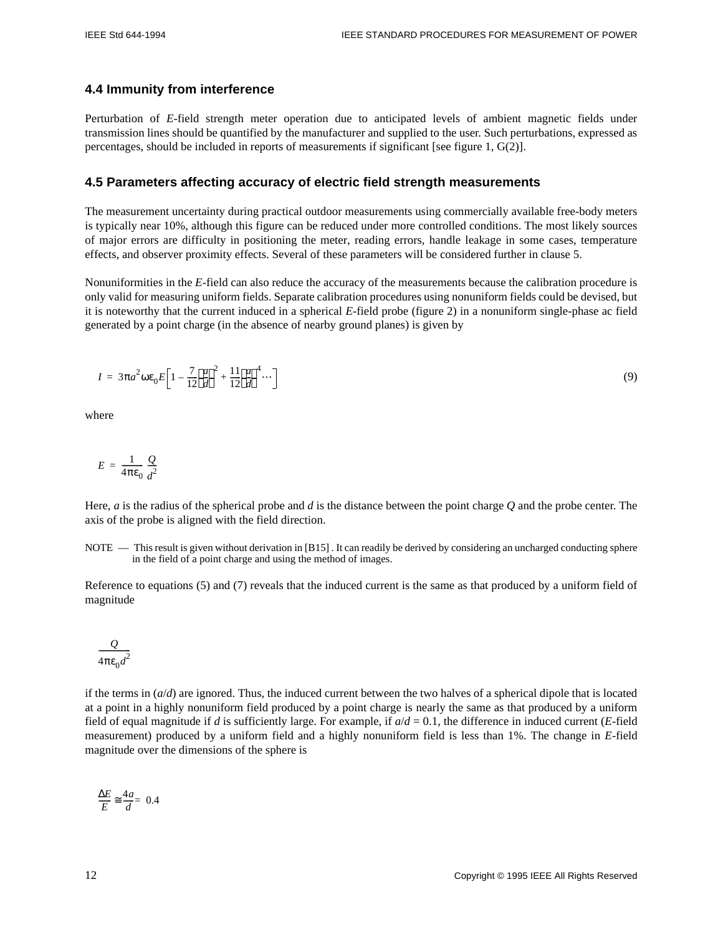#### **4.4 Immunity from interference**

Perturbation of *E*-field strength meter operation due to anticipated levels of ambient magnetic fields under transmission lines should be quantified by the manufacturer and supplied to the user. Such perturbations, expressed as percentages, should be included in reports of measurements if significant [see figure 1, G(2)].

#### **4.5 Parameters affecting accuracy of electric field strength measurements**

The measurement uncertainty during practical outdoor measurements using commercially available free-body meters is typically near 10%, although this figure can be reduced under more controlled conditions. The most likely sources of major errors are difficulty in positioning the meter, reading errors, handle leakage in some cases, temperature effects, and observer proximity effects. Several of these parameters will be considered further in clause 5.

Nonuniformities in the *E*-field can also reduce the accuracy of the measurements because the calibration procedure is only valid for measuring uniform fields. Separate calibration procedures using nonuniform fields could be devised, but it is noteworthy that the current induced in a spherical *E*-field probe (figure 2) in a nonuniform single-phase ac field generated by a point charge (in the absence of nearby ground planes) is given by

$$
I = 3\pi a^2 \omega \varepsilon_0 E \left[ 1 - \frac{7}{12} \left( \frac{a}{d} \right)^2 + \frac{11}{12} \left( \frac{a}{d} \right)^4 \cdots \right] \tag{9}
$$

where

$$
E = \frac{1}{4\pi\epsilon_0} \frac{Q}{d^2}
$$

Here, *a* is the radius of the spherical probe and *d* is the distance between the point charge *Q* and the probe center. The axis of the probe is aligned with the field direction.

NOTE — This result is given without derivation in [B15] . It can readily be derived by considering an uncharged conducting sphere in the field of a point charge and using the method of images.

Reference to equations (5) and (7) reveals that the induced current is the same as that produced by a uniform field of magnitude

$$
\frac{\varrho}{4\pi\epsilon_0 d^2}
$$

if the terms in  $(a/d)$  are ignored. Thus, the induced current between the two halves of a spherical dipole that is located at a point in a highly nonuniform field produced by a point charge is nearly the same as that produced by a uniform field of equal magnitude if *d* is sufficiently large. For example, if *a*/*d* = 0.1, the difference in induced current (*E*-field measurement) produced by a uniform field and a highly nonuniform field is less than 1%. The change in *E*-field magnitude over the dimensions of the sphere is

$$
\frac{\Delta E}{E} \cong \frac{4a}{d} = 0.4
$$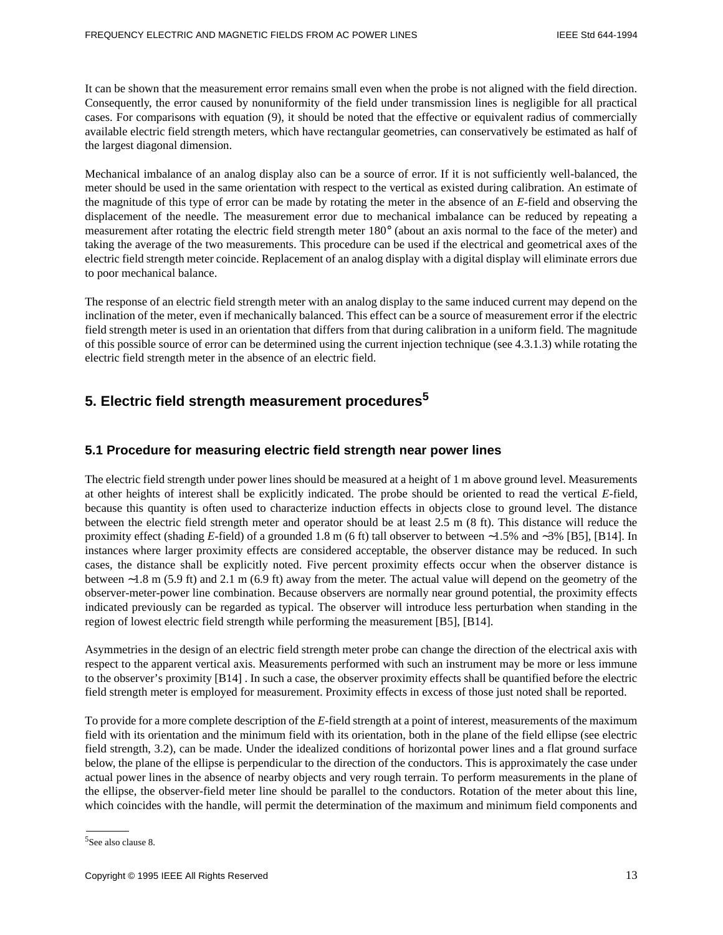It can be shown that the measurement error remains small even when the probe is not aligned with the field direction. Consequently, the error caused by nonuniformity of the field under transmission lines is negligible for all practical cases. For comparisons with equation (9), it should be noted that the effective or equivalent radius of commercially available electric field strength meters, which have rectangular geometries, can conservatively be estimated as half of the largest diagonal dimension.

Mechanical imbalance of an analog display also can be a source of error. If it is not sufficiently well-balanced, the meter should be used in the same orientation with respect to the vertical as existed during calibration. An estimate of the magnitude of this type of error can be made by rotating the meter in the absence of an *E*-field and observing the displacement of the needle. The measurement error due to mechanical imbalance can be reduced by repeating a measurement after rotating the electric field strength meter 180° (about an axis normal to the face of the meter) and taking the average of the two measurements. This procedure can be used if the electrical and geometrical axes of the electric field strength meter coincide. Replacement of an analog display with a digital display will eliminate errors due to poor mechanical balance.

The response of an electric field strength meter with an analog display to the same induced current may depend on the inclination of the meter, even if mechanically balanced. This effect can be a source of measurement error if the electric field strength meter is used in an orientation that differs from that during calibration in a uniform field. The magnitude of this possible source of error can be determined using the current injection technique (see 4.3.1.3) while rotating the electric field strength meter in the absence of an electric field.

# **5. Electric field strength measurement procedures<sup>5</sup>**

# **5.1 Procedure for measuring electric field strength near power lines**

The electric field strength under power lines should be measured at a height of 1 m above ground level. Measurements at other heights of interest shall be explicitly indicated. The probe should be oriented to read the vertical *E*-field, because this quantity is often used to characterize induction effects in objects close to ground level. The distance between the electric field strength meter and operator should be at least 2.5 m (8 ft). This distance will reduce the proximity effect (shading *E*-field) of a grounded 1.8 m (6 ft) tall observer to between ∼1.5% and ∼3% [B5], [B14]. In instances where larger proximity effects are considered acceptable, the observer distance may be reduced. In such cases, the distance shall be explicitly noted. Five percent proximity effects occur when the observer distance is between ∼1.8 m (5.9 ft) and 2.1 m (6.9 ft) away from the meter. The actual value will depend on the geometry of the observer-meter-power line combination. Because observers are normally near ground potential, the proximity effects indicated previously can be regarded as typical. The observer will introduce less perturbation when standing in the region of lowest electric field strength while performing the measurement [B5], [B14].

Asymmetries in the design of an electric field strength meter probe can change the direction of the electrical axis with respect to the apparent vertical axis. Measurements performed with such an instrument may be more or less immune to the observer's proximity [B14] . In such a case, the observer proximity effects shall be quantified before the electric field strength meter is employed for measurement. Proximity effects in excess of those just noted shall be reported.

To provide for a more complete description of the *E*-field strength at a point of interest, measurements of the maximum field with its orientation and the minimum field with its orientation, both in the plane of the field ellipse (see electric field strength, 3.2), can be made. Under the idealized conditions of horizontal power lines and a flat ground surface below, the plane of the ellipse is perpendicular to the direction of the conductors. This is approximately the case under actual power lines in the absence of nearby objects and very rough terrain. To perform measurements in the plane of the ellipse, the observer-field meter line should be parallel to the conductors. Rotation of the meter about this line, which coincides with the handle, will permit the determination of the maximum and minimum field components and

<sup>&</sup>lt;sup>5</sup>See also clause 8.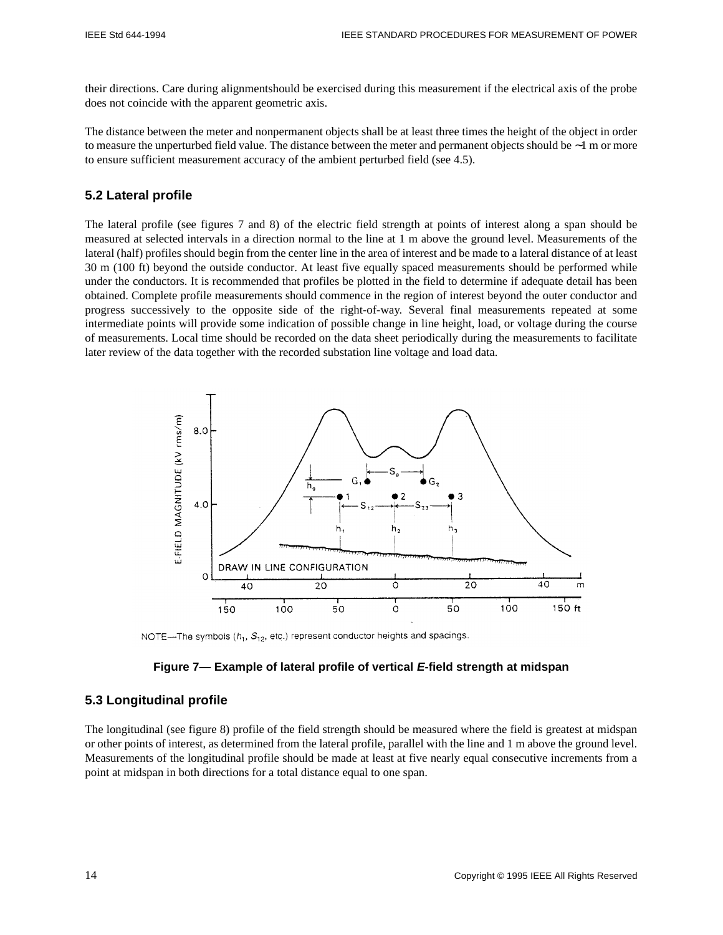their directions. Care during alignmentshould be exercised during this measurement if the electrical axis of the probe does not coincide with the apparent geometric axis.

The distance between the meter and nonpermanent objects shall be at least three times the height of the object in order to measure the unperturbed field value. The distance between the meter and permanent objects should be ∼1 m or more to ensure sufficient measurement accuracy of the ambient perturbed field (see 4.5).

# **5.2 Lateral profile**

The lateral profile (see figures 7 and 8) of the electric field strength at points of interest along a span should be measured at selected intervals in a direction normal to the line at 1 m above the ground level. Measurements of the lateral (half) profiles should begin from the center line in the area of interest and be made to a lateral distance of at least 30 m (100 ft) beyond the outside conductor. At least five equally spaced measurements should be performed while under the conductors. It is recommended that profiles be plotted in the field to determine if adequate detail has been obtained. Complete profile measurements should commence in the region of interest beyond the outer conductor and progress successively to the opposite side of the right-of-way. Several final measurements repeated at some intermediate points will provide some indication of possible change in line height, load, or voltage during the course of measurements. Local time should be recorded on the data sheet periodically during the measurements to facilitate later review of the data together with the recorded substation line voltage and load data.



NOTE—The symbols  $(h_1, S_{12}, \text{etc.})$  represent conductor heights and spacings.

#### **Figure 7— Example of lateral profile of vertical E-field strength at midspan**

### **5.3 Longitudinal profile**

The longitudinal (see figure 8) profile of the field strength should be measured where the field is greatest at midspan or other points of interest, as determined from the lateral profile, parallel with the line and 1 m above the ground level. Measurements of the longitudinal profile should be made at least at five nearly equal consecutive increments from a point at midspan in both directions for a total distance equal to one span.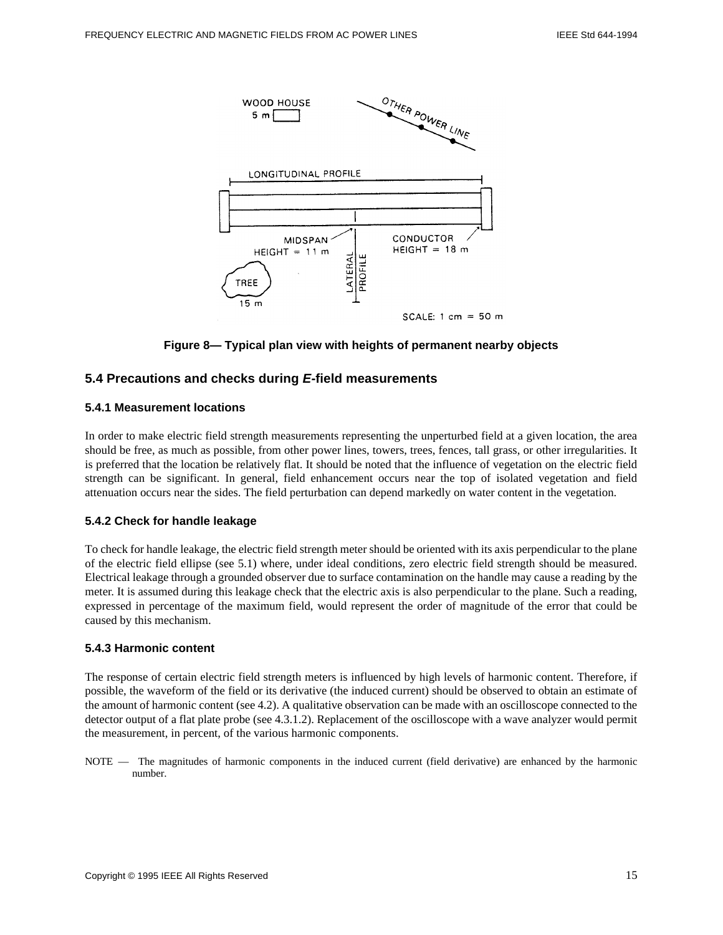

**Figure 8— Typical plan view with heights of permanent nearby objects**

# **5.4 Precautions and checks during E-field measurements**

#### **5.4.1 Measurement locations**

In order to make electric field strength measurements representing the unperturbed field at a given location, the area should be free, as much as possible, from other power lines, towers, trees, fences, tall grass, or other irregularities. It is preferred that the location be relatively flat. It should be noted that the influence of vegetation on the electric field strength can be significant. In general, field enhancement occurs near the top of isolated vegetation and field attenuation occurs near the sides. The field perturbation can depend markedly on water content in the vegetation.

#### **5.4.2 Check for handle leakage**

To check for handle leakage, the electric field strength meter should be oriented with its axis perpendicular to the plane of the electric field ellipse (see 5.1) where, under ideal conditions, zero electric field strength should be measured. Electrical leakage through a grounded observer due to surface contamination on the handle may cause a reading by the meter. It is assumed during this leakage check that the electric axis is also perpendicular to the plane. Such a reading, expressed in percentage of the maximum field, would represent the order of magnitude of the error that could be caused by this mechanism.

#### **5.4.3 Harmonic content**

The response of certain electric field strength meters is influenced by high levels of harmonic content. Therefore, if possible, the waveform of the field or its derivative (the induced current) should be observed to obtain an estimate of the amount of harmonic content (see 4.2). A qualitative observation can be made with an oscilloscope connected to the detector output of a flat plate probe (see 4.3.1.2). Replacement of the oscilloscope with a wave analyzer would permit the measurement, in percent, of the various harmonic components.

NOTE — The magnitudes of harmonic components in the induced current (field derivative) are enhanced by the harmonic number.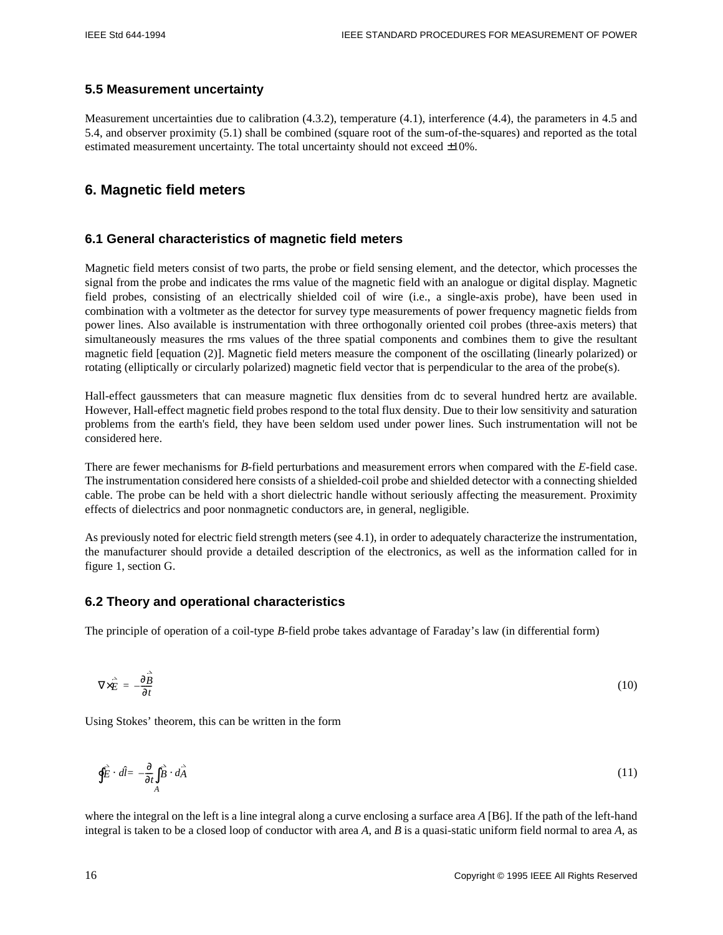#### **5.5 Measurement uncertainty**

Measurement uncertainties due to calibration (4.3.2), temperature (4.1), interference (4.4), the parameters in 4.5 and 5.4, and observer proximity (5.1) shall be combined (square root of the sum-of-the-squares) and reported as the total estimated measurement uncertainty. The total uncertainty should not exceed  $\pm 10\%$ .

# **6. Magnetic field meters**

### **6.1 General characteristics of magnetic field meters**

Magnetic field meters consist of two parts, the probe or field sensing element, and the detector, which processes the signal from the probe and indicates the rms value of the magnetic field with an analogue or digital display. Magnetic field probes, consisting of an electrically shielded coil of wire (i.e., a single-axis probe), have been used in combination with a voltmeter as the detector for survey type measurements of power frequency magnetic fields from power lines. Also available is instrumentation with three orthogonally oriented coil probes (three-axis meters) that simultaneously measures the rms values of the three spatial components and combines them to give the resultant magnetic field [equation (2)]. Magnetic field meters measure the component of the oscillating (linearly polarized) or rotating (elliptically or circularly polarized) magnetic field vector that is perpendicular to the area of the probe(s).

Hall-effect gaussmeters that can measure magnetic flux densities from dc to several hundred hertz are available. However, Hall-effect magnetic field probes respond to the total flux density. Due to their low sensitivity and saturation problems from the earth's field, they have been seldom used under power lines. Such instrumentation will not be considered here.

There are fewer mechanisms for *B*-field perturbations and measurement errors when compared with the *E*-field case. The instrumentation considered here consists of a shielded-coil probe and shielded detector with a connecting shielded cable. The probe can be held with a short dielectric handle without seriously affecting the measurement. Proximity effects of dielectrics and poor nonmagnetic conductors are, in general, negligible.

As previously noted for electric field strength meters (see 4.1), in order to adequately characterize the instrumentation, the manufacturer should provide a detailed description of the electronics, as well as the information called for in figure 1, section G.

# **6.2 Theory and operational characteristics**

The principle of operation of a coil-type *B*-field probe takes advantage of Faraday's law (in differential form)

$$
\nabla \times \vec{E} = -\frac{\partial \vec{B}}{\partial t} \tag{10}
$$

Using Stokes' theorem, this can be written in the form

$$
\oint \vec{E} \cdot d\hat{l} = -\frac{\partial}{\partial t} \int_{A} \vec{B} \cdot d\vec{A}
$$
\n(11)

where the integral on the left is a line integral along a curve enclosing a surface area *A* [B6]. If the path of the left-hand integral is taken to be a closed loop of conductor with area *A*, and *B* is a quasi-static uniform field normal to area *A*, as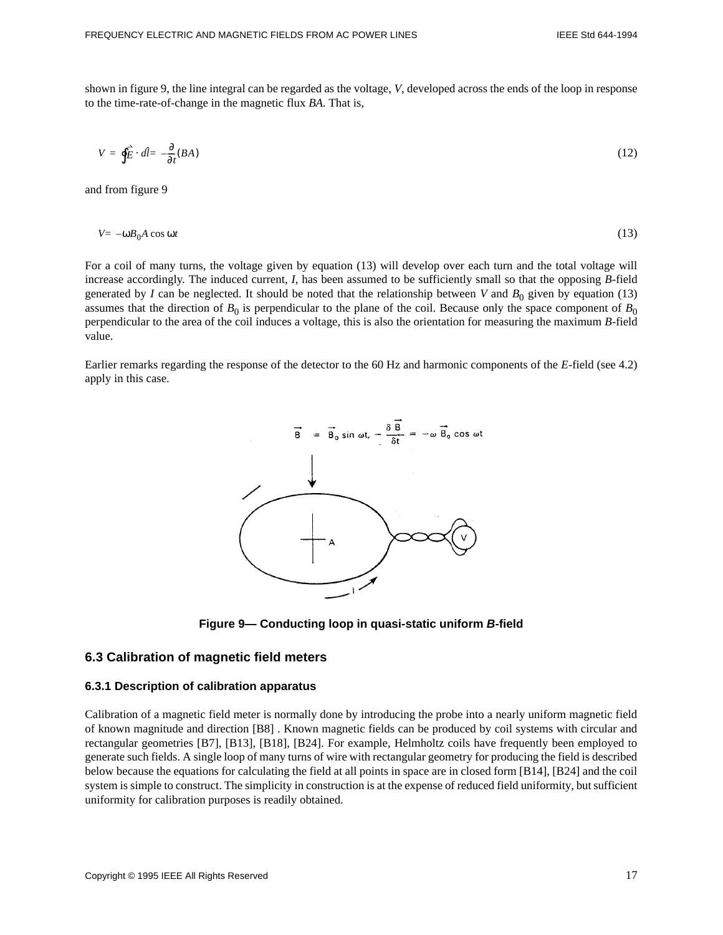shown in figure 9, the line integral can be regarded as the voltage, *V*, developed across the ends of the loop in response to the time-rate-of-change in the magnetic flux *BA*. That is,

$$
V = \oint \vec{E} \cdot d\hat{l} = -\frac{\partial}{\partial t}(BA)
$$
 (12)

and from figure 9

$$
V = -\omega B_0 A \cos \omega t \tag{13}
$$

For a coil of many turns, the voltage given by equation (13) will develop over each turn and the total voltage will increase accordingly. The induced current, *I*, has been assumed to be sufficiently small so that the opposing *B*-field generated by *I* can be neglected. It should be noted that the relationship between *V* and  $B_0$  given by equation (13) assumes that the direction of  $B_0$  is perpendicular to the plane of the coil. Because only the space component of  $B_0$ perpendicular to the area of the coil induces a voltage, this is also the orientation for measuring the maximum *B*-field value.

Earlier remarks regarding the response of the detector to the 60 Hz and harmonic components of the *E*-field (see 4.2) apply in this case.



**Figure 9— Conducting loop in quasi-static uniform B-field**

#### **6.3 Calibration of magnetic field meters**

#### **6.3.1 Description of calibration apparatus**

Calibration of a magnetic field meter is normally done by introducing the probe into a nearly uniform magnetic field of known magnitude and direction [B8] . Known magnetic fields can be produced by coil systems with circular and rectangular geometries [B7], [B13], [B18], [B24]. For example, Helmholtz coils have frequently been employed to generate such fields. A single loop of many turns of wire with rectangular geometry for producing the field is described below because the equations for calculating the field at all points in space are in closed form [B14], [B24] and the coil system is simple to construct. The simplicity in construction is at the expense of reduced field uniformity, but sufficient uniformity for calibration purposes is readily obtained.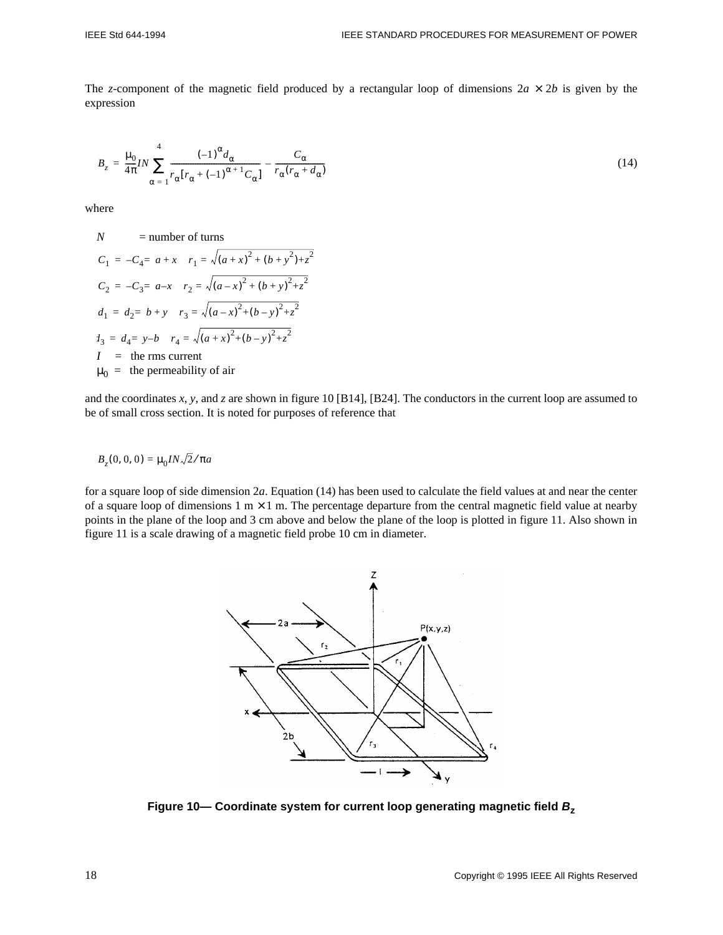The *z*-component of the magnetic field produced by a rectangular loop of dimensions  $2a \times 2b$  is given by the expression

$$
B_z = \frac{\mu_0}{4\pi} I N \sum_{\alpha=1}^4 \frac{(-1)^{\alpha} d_{\alpha}}{r_{\alpha} (r_{\alpha} + (-1)^{\alpha+1} C_{\alpha})} - \frac{C_{\alpha}}{r_{\alpha} (r_{\alpha} + d_{\alpha})}
$$
(14)

where

$$
N = number of turns
$$
  
\n
$$
C_1 = -C_4 = a + x \quad r_1 = \sqrt{(a + x)^2 + (b + y^2) + z^2}
$$
  
\n
$$
C_2 = -C_3 = a - x \quad r_2 = \sqrt{(a - x)^2 + (b + y)^2 + z^2}
$$
  
\n
$$
d_1 = d_2 = b + y \quad r_3 = \sqrt{(a - x)^2 + (b - y)^2 + z^2}
$$
  
\n
$$
d_3 = d_4 = y - b \quad r_4 = \sqrt{(a + x)^2 + (b - y)^2 + z^2}
$$
  
\n
$$
I = \text{the rms current}
$$
  
\n
$$
m_0 = \text{the permeability of air}
$$

and the coordinates *x*, *y*, and *z* are shown in figure 10 [B14], [B24]. The conductors in the current loop are assumed to be of small cross section. It is noted for purposes of reference that

$$
B_z(0, 0, 0) = \mu_0 I N \sqrt{2} / \pi a
$$

for a square loop of side dimension 2*a*. Equation (14) has been used to calculate the field values at and near the center of a square loop of dimensions 1 m  $\times$  1 m. The percentage departure from the central magnetic field value at nearby points in the plane of the loop and 3 cm above and below the plane of the loop is plotted in figure 11. Also shown in figure 11 is a scale drawing of a magnetic field probe 10 cm in diameter.



**Figure 10— Coordinate system for current loop generating magnetic field B<sup>z</sup>**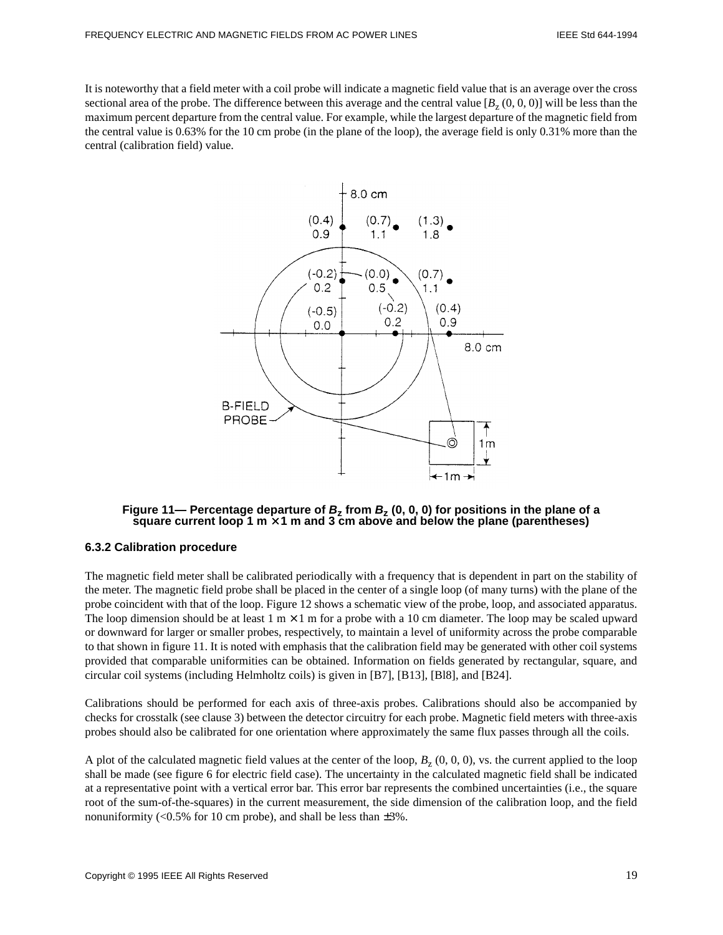It is noteworthy that a field meter with a coil probe will indicate a magnetic field value that is an average over the cross sectional area of the probe. The difference between this average and the central value  $[B_z(0, 0, 0)]$  will be less than the maximum percent departure from the central value. For example, while the largest departure of the magnetic field from the central value is 0.63% for the 10 cm probe (in the plane of the loop), the average field is only 0.31% more than the central (calibration field) value.



**Figure 11— Percentage departure of B<sup>z</sup> from B<sup>z</sup> (0, 0, 0) for positions in the plane of a square current loop 1 m** × **1 m and 3 cm above and below the plane (parentheses)**

#### **6.3.2 Calibration procedure**

The magnetic field meter shall be calibrated periodically with a frequency that is dependent in part on the stability of the meter. The magnetic field probe shall be placed in the center of a single loop (of many turns) with the plane of the probe coincident with that of the loop. Figure 12 shows a schematic view of the probe, loop, and associated apparatus. The loop dimension should be at least  $1 \text{ m} \times 1 \text{ m}$  for a probe with a 10 cm diameter. The loop may be scaled upward or downward for larger or smaller probes, respectively, to maintain a level of uniformity across the probe comparable to that shown in figure 11. It is noted with emphasis that the calibration field may be generated with other coil systems provided that comparable uniformities can be obtained. Information on fields generated by rectangular, square, and circular coil systems (including Helmholtz coils) is given in [B7], [B13], [Bl8], and [B24].

Calibrations should be performed for each axis of three-axis probes. Calibrations should also be accompanied by checks for crosstalk (see clause 3) between the detector circuitry for each probe. Magnetic field meters with three-axis probes should also be calibrated for one orientation where approximately the same flux passes through all the coils.

A plot of the calculated magnetic field values at the center of the loop,  $B<sub>z</sub>$  (0, 0, 0), vs. the current applied to the loop shall be made (see figure 6 for electric field case). The uncertainty in the calculated magnetic field shall be indicated at a representative point with a vertical error bar. This error bar represents the combined uncertainties (i.e., the square root of the sum-of-the-squares) in the current measurement, the side dimension of the calibration loop, and the field nonuniformity (< $0.5\%$  for 10 cm probe), and shall be less than  $\pm 3\%$ .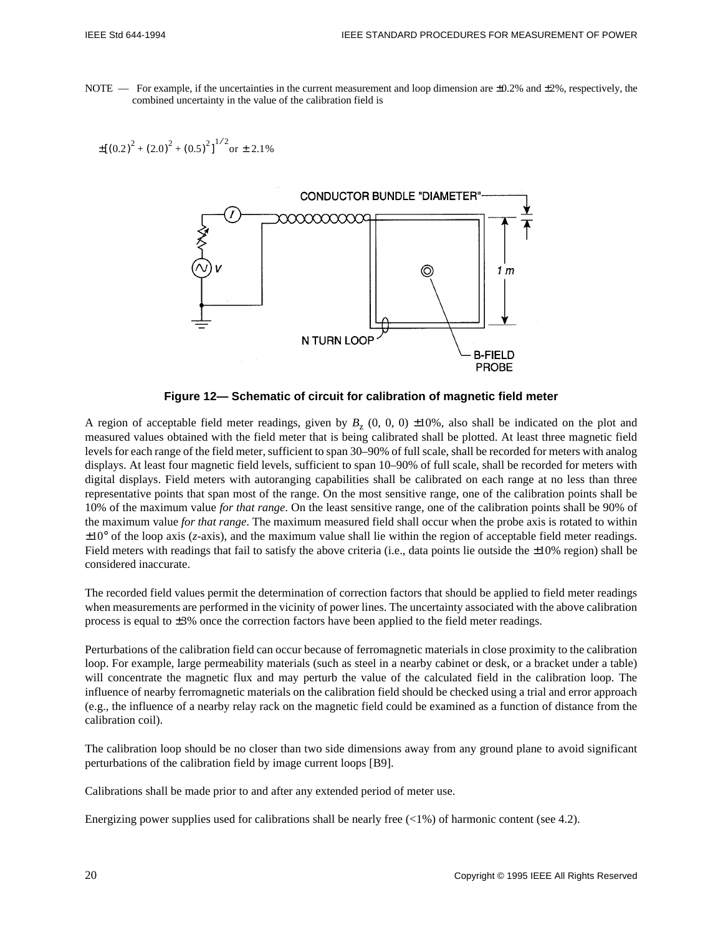NOTE — For example, if the uncertainties in the current measurement and loop dimension are  $\pm 0.2\%$  and  $\pm 2\%$ , respectively, the combined uncertainty in the value of the calibration field is

$$
\pm \left[ \left( 0.2 \right)^2 + \left( 2.0 \right)^2 + \left( 0.5 \right)^2 \right]^{1/2} \text{or} \pm 2.1\%
$$



**Figure 12— Schematic of circuit for calibration of magnetic field meter**

A region of acceptable field meter readings, given by  $B<sub>z</sub>$  (0, 0, 0)  $\pm 10$ %, also shall be indicated on the plot and measured values obtained with the field meter that is being calibrated shall be plotted. At least three magnetic field levels for each range of the field meter, sufficient to span 30–90% of full scale, shall be recorded for meters with analog displays. At least four magnetic field levels, sufficient to span 10–90% of full scale, shall be recorded for meters with digital displays. Field meters with autoranging capabilities shall be calibrated on each range at no less than three representative points that span most of the range. On the most sensitive range, one of the calibration points shall be 10% of the maximum value *for that range*. On the least sensitive range, one of the calibration points shall be 90% of the maximum value *for that range*. The maximum measured field shall occur when the probe axis is rotated to within ±10° of the loop axis (*z*-axis), and the maximum value shall lie within the region of acceptable field meter readings. Field meters with readings that fail to satisfy the above criteria (i.e., data points lie outside the  $\pm 10\%$  region) shall be considered inaccurate.

The recorded field values permit the determination of correction factors that should be applied to field meter readings when measurements are performed in the vicinity of power lines. The uncertainty associated with the above calibration process is equal to ±3% once the correction factors have been applied to the field meter readings.

Perturbations of the calibration field can occur because of ferromagnetic materials in close proximity to the calibration loop. For example, large permeability materials (such as steel in a nearby cabinet or desk, or a bracket under a table) will concentrate the magnetic flux and may perturb the value of the calculated field in the calibration loop. The influence of nearby ferromagnetic materials on the calibration field should be checked using a trial and error approach (e.g., the influence of a nearby relay rack on the magnetic field could be examined as a function of distance from the calibration coil).

The calibration loop should be no closer than two side dimensions away from any ground plane to avoid significant perturbations of the calibration field by image current loops [B9].

Calibrations shall be made prior to and after any extended period of meter use.

Energizing power supplies used for calibrations shall be nearly free  $\langle 1\% \rangle$  of harmonic content (see 4.2).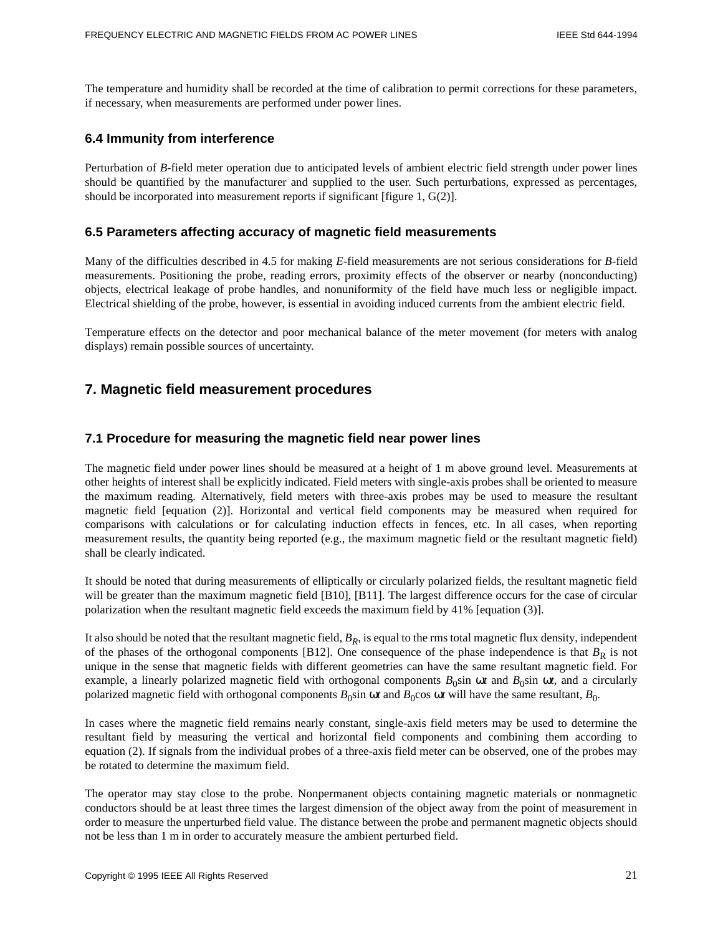The temperature and humidity shall be recorded at the time of calibration to permit corrections for these parameters, if necessary, when measurements are performed under power lines.

#### **6.4 Immunity from interference**

Perturbation of *B*-field meter operation due to anticipated levels of ambient electric field strength under power lines should be quantified by the manufacturer and supplied to the user. Such perturbations, expressed as percentages, should be incorporated into measurement reports if significant [figure 1, G(2)].

#### **6.5 Parameters affecting accuracy of magnetic field measurements**

Many of the difficulties described in 4.5 for making *E*-field measurements are not serious considerations for *B*-field measurements. Positioning the probe, reading errors, proximity effects of the observer or nearby (nonconducting) objects, electrical leakage of probe handles, and nonuniformity of the field have much less or negligible impact. Electrical shielding of the probe, however, is essential in avoiding induced currents from the ambient electric field.

Temperature effects on the detector and poor mechanical balance of the meter movement (for meters with analog displays) remain possible sources of uncertainty.

# **7. Magnetic field measurement procedures**

#### **7.1 Procedure for measuring the magnetic field near power lines**

The magnetic field under power lines should be measured at a height of 1 m above ground level. Measurements at other heights of interest shall be explicitly indicated. Field meters with single-axis probes shall be oriented to measure the maximum reading. Alternatively, field meters with three-axis probes may be used to measure the resultant magnetic field [equation (2)]. Horizontal and vertical field components may be measured when required for comparisons with calculations or for calculating induction effects in fences, etc. In all cases, when reporting measurement results, the quantity being reported (e.g., the maximum magnetic field or the resultant magnetic field) shall be clearly indicated.

It should be noted that during measurements of elliptically or circularly polarized fields, the resultant magnetic field will be greater than the maximum magnetic field [B10], [B11]. The largest difference occurs for the case of circular polarization when the resultant magnetic field exceeds the maximum field by 41% [equation (3)].

It also should be noted that the resultant magnetic field, *BR*, is equal to the rms total magnetic flux density, independent of the phases of the orthogonal components [B12]. One consequence of the phase independence is that  $B_R$  is not unique in the sense that magnetic fields with different geometries can have the same resultant magnetic field. For example, a linearly polarized magnetic field with orthogonal components  $B_0$ sin  $\omega t$  and  $B_0$ sin  $\omega t$ , and a circularly polarized magnetic field with orthogonal components  $B_0 \sin \omega t$  and  $B_0 \cos \omega t$  will have the same resultant,  $B_0$ .

In cases where the magnetic field remains nearly constant, single-axis field meters may be used to determine the resultant field by measuring the vertical and horizontal field components and combining them according to equation (2). If signals from the individual probes of a three-axis field meter can be observed, one of the probes may be rotated to determine the maximum field.

The operator may stay close to the probe. Nonpermanent objects containing magnetic materials or nonmagnetic conductors should be at least three times the largest dimension of the object away from the point of measurement in order to measure the unperturbed field value. The distance between the probe and permanent magnetic objects should not be less than 1 m in order to accurately measure the ambient perturbed field.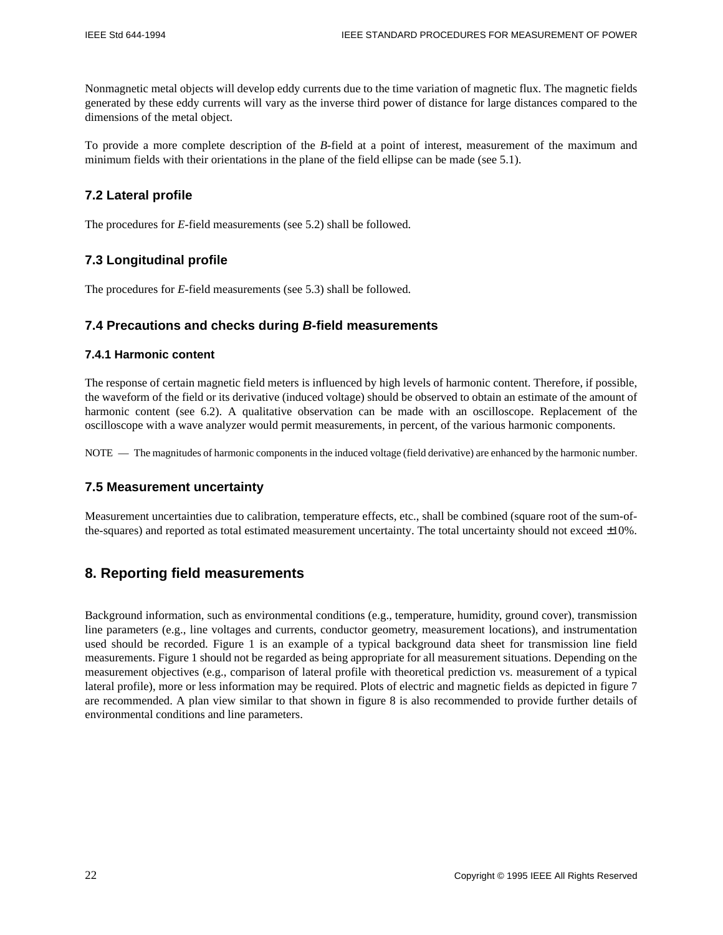Nonmagnetic metal objects will develop eddy currents due to the time variation of magnetic flux. The magnetic fields generated by these eddy currents will vary as the inverse third power of distance for large distances compared to the dimensions of the metal object.

To provide a more complete description of the *B*-field at a point of interest, measurement of the maximum and minimum fields with their orientations in the plane of the field ellipse can be made (see 5.1).

# **7.2 Lateral profile**

The procedures for *E*-field measurements (see 5.2) shall be followed.

# **7.3 Longitudinal profile**

The procedures for *E*-field measurements (see 5.3) shall be followed.

# **7.4 Precautions and checks during B-field measurements**

#### **7.4.1 Harmonic content**

The response of certain magnetic field meters is influenced by high levels of harmonic content. Therefore, if possible, the waveform of the field or its derivative (induced voltage) should be observed to obtain an estimate of the amount of harmonic content (see 6.2). A qualitative observation can be made with an oscilloscope. Replacement of the oscilloscope with a wave analyzer would permit measurements, in percent, of the various harmonic components.

NOTE — The magnitudes of harmonic components in the induced voltage (field derivative) are enhanced by the harmonic number.

# **7.5 Measurement uncertainty**

Measurement uncertainties due to calibration, temperature effects, etc., shall be combined (square root of the sum-ofthe-squares) and reported as total estimated measurement uncertainty. The total uncertainty should not exceed  $\pm 10\%$ .

# **8. Reporting field measurements**

Background information, such as environmental conditions (e.g., temperature, humidity, ground cover), transmission line parameters (e.g., line voltages and currents, conductor geometry, measurement locations), and instrumentation used should be recorded. Figure 1 is an example of a typical background data sheet for transmission line field measurements. Figure 1 should not be regarded as being appropriate for all measurement situations. Depending on the measurement objectives (e.g., comparison of lateral profile with theoretical prediction vs. measurement of a typical lateral profile), more or less information may be required. Plots of electric and magnetic fields as depicted in figure 7 are recommended. A plan view similar to that shown in figure 8 is also recommended to provide further details of environmental conditions and line parameters.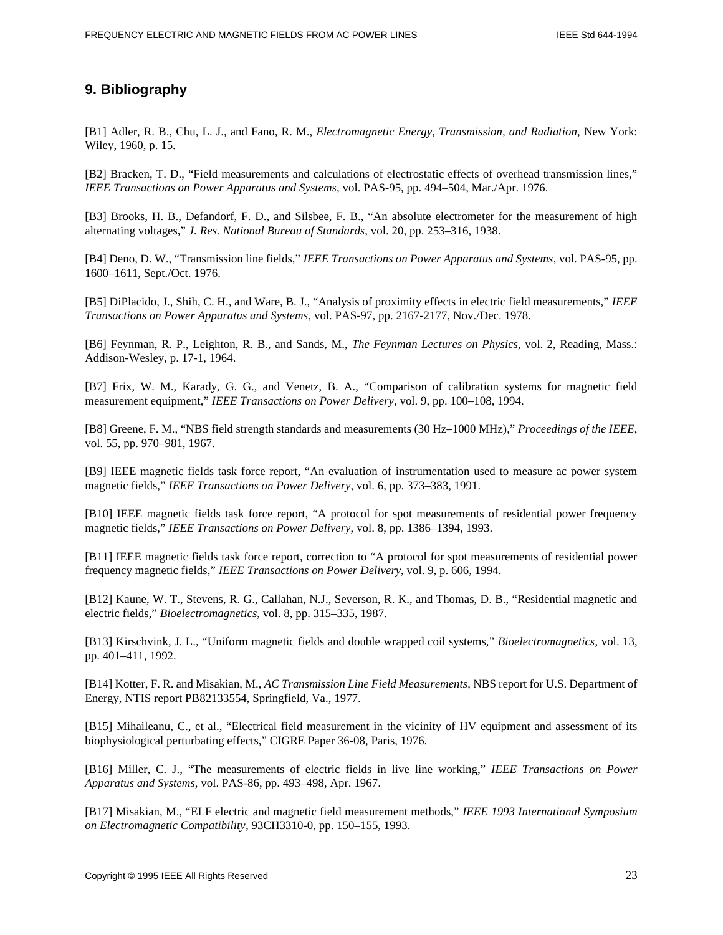# **9. Bibliography**

[B1] Adler, R. B., Chu, L. J., and Fano, R. M., *Electromagnetic Energy, Transmission, and Radiation*, New York: Wiley, 1960, p. 15.

[B2] Bracken, T. D., "Field measurements and calculations of electrostatic effects of overhead transmission lines," *IEEE Transactions on Power Apparatus and Systems*, vol. PAS-95, pp. 494–504, Mar./Apr. 1976.

[B3] Brooks, H. B., Defandorf, F. D., and Silsbee, F. B., "An absolute electrometer for the measurement of high alternating voltages," *J. Res. National Bureau of Standards*, vol. 20, pp. 253–316, 1938.

[B4] Deno, D. W., "Transmission line fields," *IEEE Transactions on Power Apparatus and Systems*, vol. PAS-95, pp. 1600–1611, Sept./Oct. 1976.

[B5] DiPlacido, J., Shih, C. H., and Ware, B. J., "Analysis of proximity effects in electric field measurements," *IEEE Transactions on Power Apparatus and Systems*, vol. PAS-97, pp. 2167-2177, Nov./Dec. 1978.

[B6] Feynman, R. P., Leighton, R. B., and Sands, M., *The Feynman Lectures on Physics*, vol. 2, Reading, Mass.: Addison-Wesley, p. 17-1, 1964.

[B7] Frix, W. M., Karady, G. G., and Venetz, B. A., "Comparison of calibration systems for magnetic field measurement equipment," *IEEE Transactions on Power Delivery*, vol. 9, pp. 100–108, 1994.

[B8] Greene, F. M., "NBS field strength standards and measurements (30 Hz–1000 MHz)," *Proceedings of the IEEE*, vol. 55, pp. 970–981, 1967.

[B9] IEEE magnetic fields task force report, "An evaluation of instrumentation used to measure ac power system magnetic fields," *IEEE Transactions on Power Delivery*, vol. 6, pp. 373–383, 1991.

[B10] IEEE magnetic fields task force report, "A protocol for spot measurements of residential power frequency magnetic fields," *IEEE Transactions on Power Delivery*, vol. 8, pp. 1386–1394, 1993.

[B11] IEEE magnetic fields task force report, correction to "A protocol for spot measurements of residential power frequency magnetic fields," *IEEE Transactions on Power Delivery*, vol. 9, p. 606, 1994.

[B12] Kaune, W. T., Stevens, R. G., Callahan, N.J., Severson, R. K., and Thomas, D. B., "Residential magnetic and electric fields," *Bioelectromagnetics*, vol. 8, pp. 315–335, 1987.

[B13] Kirschvink, J. L., "Uniform magnetic fields and double wrapped coil systems," *Bioelectromagnetics*, vol. 13, pp. 401–411, 1992.

[B14] Kotter, F. R. and Misakian, M., *AC Transmission Line Field Measurements*, NBS report for U.S. Department of Energy, NTIS report PB82133554, Springfield, Va., 1977.

[B15] Mihaileanu, C., et al., "Electrical field measurement in the vicinity of HV equipment and assessment of its biophysiological perturbating effects," CIGRE Paper 36-08, Paris, 1976.

[B16] Miller, C. J., "The measurements of electric fields in live line working," *IEEE Transactions on Power Apparatus and Systems*, vol. PAS-86, pp. 493–498, Apr. 1967.

[B17] Misakian, M., "ELF electric and magnetic field measurement methods," *IEEE 1993 International Symposium on Electromagnetic Compatibility*, 93CH3310-0, pp. 150–155, 1993.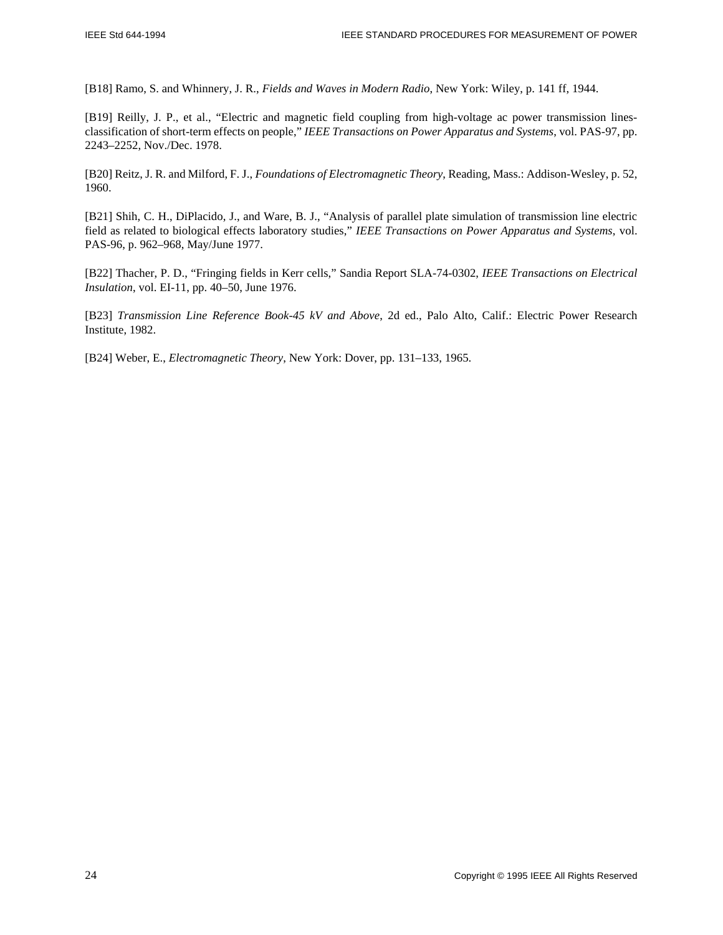[B18] Ramo, S. and Whinnery, J. R., *Fields and Waves in Modern Radio*, New York: Wiley, p. 141 ff, 1944.

[B19] Reilly, J. P., et al., "Electric and magnetic field coupling from high-voltage ac power transmission linesclassification of short-term effects on people," *IEEE Transactions on Power Apparatus and Systems*, vol. PAS-97, pp. 2243–2252, Nov./Dec. 1978.

[B20] Reitz, J. R. and Milford, F. J., *Foundations of Electromagnetic Theory*, Reading, Mass.: Addison-Wesley, p. 52, 1960.

[B21] Shih, C. H., DiPlacido, J., and Ware, B. J., "Analysis of parallel plate simulation of transmission line electric field as related to biological effects laboratory studies," *IEEE Transactions on Power Apparatus and Systems*, vol. PAS-96, p. 962–968, May/June 1977.

[B22] Thacher, P. D., "Fringing fields in Kerr cells," Sandia Report SLA-74-0302, *IEEE Transactions on Electrical Insulation*, vol. EI-11, pp. 40–50, June 1976.

[B23] *Transmission Line Reference Book-45 kV and Above*, 2d ed., Palo Alto, Calif.: Electric Power Research Institute, 1982.

[B24] Weber, E., *Electromagnetic Theory*, New York: Dover, pp. 131–133, 1965.